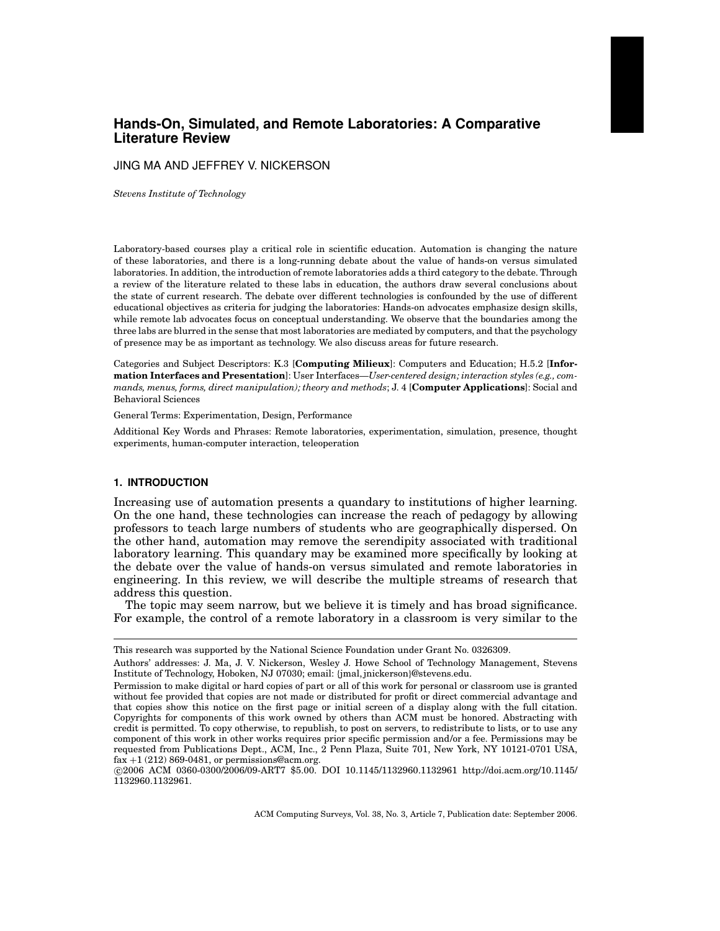# **Hands-On, Simulated, and Remote Laboratories: A Comparative Literature Review**

JING MA AND JEFFREY V. NICKERSON

*Stevens Institute of Technology*

<http://ceit.uq.edu.au/content/hands-simulated-and-remote-laboratories-comparative-literature-review>

Laboratory-based courses play a critical role in scientific education. Automation is changing the nature of these laboratories, and there is a long-running debate about the value of hands-on versus simulated laboratories. In addition, the introduction of remote laboratories adds a third category to the debate. Through a review of the literature related to these labs in education, the authors draw several conclusions about the state of current research. The debate over different technologies is confounded by the use of different educational objectives as criteria for judging the laboratories: Hands-on advocates emphasize design skills, while remote lab advocates focus on conceptual understanding. We observe that the boundaries among the three labs are blurred in the sense that most laboratories are mediated by computers, and that the psychology of presence may be as important as technology. We also discuss areas for future research.

Categories and Subject Descriptors: K.3 [**Computing Milieux**]: Computers and Education; H.5.2 [**Information Interfaces and Presentation**]: User Interfaces—*User-centered design; interaction styles (e.g., commands, menus, forms, direct manipulation); theory and methods*; J. 4 [**Computer Applications**]: Social and Behavioral Sciences

General Terms: Experimentation, Design, Performance

Additional Key Words and Phrases: Remote laboratories, experimentation, simulation, presence, thought experiments, human-computer interaction, teleoperation

## **1. INTRODUCTION**

Increasing use of automation presents a quandary to institutions of higher learning. On the one hand, these technologies can increase the reach of pedagogy by allowing professors to teach large numbers of students who are geographically dispersed. On the other hand, automation may remove the serendipity associated with traditional laboratory learning. This quandary may be examined more specifically by looking at the debate over the value of hands-on versus simulated and remote laboratories in engineering. In this review, we will describe the multiple streams of research that address this question.

The topic may seem narrow, but we believe it is timely and has broad significance. For example, the control of a remote laboratory in a classroom is very similar to the

This research was supported by the National Science Foundation under Grant No. 0326309.

Authors' addresses: J. Ma, J. V. Nickerson, Wesley J. Howe School of Technology Management, Stevens Institute of Technology, Hoboken, NJ 07030; email: {jmal, jnickerson}@stevens.edu.

Permission to make digital or hard copies of part or all of this work for personal or classroom use is granted without fee provided that copies are not made or distributed for profit or direct commercial advantage and that copies show this notice on the first page or initial screen of a display along with the full citation. Copyrights for components of this work owned by others than ACM must be honored. Abstracting with credit is permitted. To copy otherwise, to republish, to post on servers, to redistribute to lists, or to use any component of this work in other works requires prior specific permission and/or a fee. Permissions may be requested from Publications Dept., ACM, Inc., 2 Penn Plaza, Suite 701, New York, NY 10121-0701 USA, fax  $+1$  (212) 869-0481, or permissions@acm.org.

<sup>-</sup>c 2006 ACM 0360-0300/2006/09-ART7 \$5.00. DOI 10.1145/1132960.1132961 http://doi.acm.org/10.1145/ 1132960.1132961.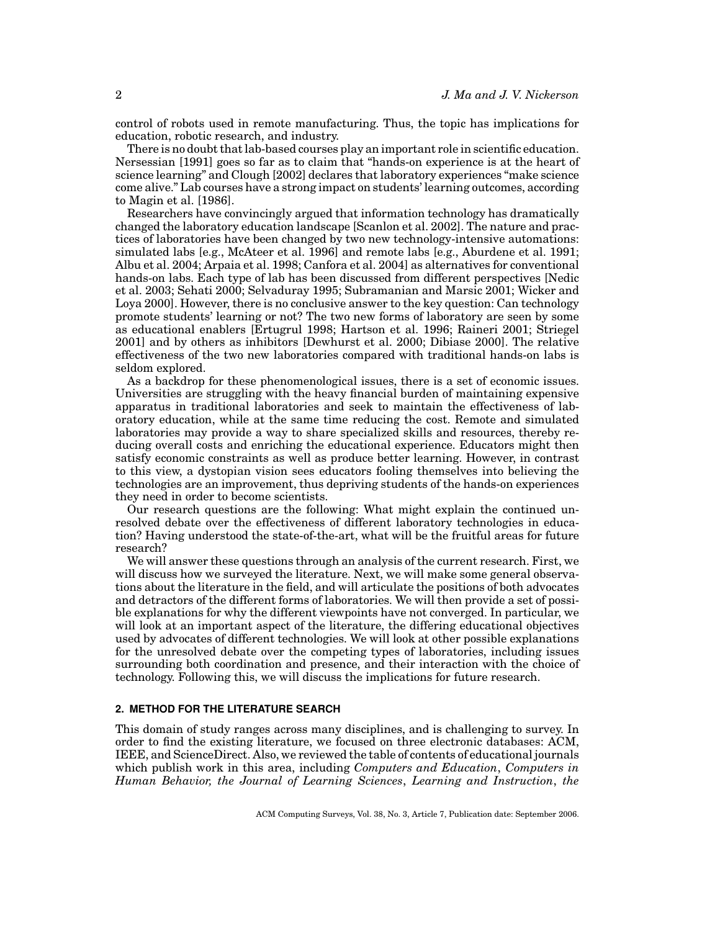control of robots used in remote manufacturing. Thus, the topic has implications for education, robotic research, and industry.

There is no doubt that lab-based courses play an important role in scientific education. Nersessian [1991] goes so far as to claim that "hands-on experience is at the heart of science learning" and Clough [2002] declares that laboratory experiences "make science come alive." Lab courses have a strong impact on students' learning outcomes, according to Magin et al. [1986].

Researchers have convincingly argued that information technology has dramatically changed the laboratory education landscape [Scanlon et al. 2002]. The nature and practices of laboratories have been changed by two new technology-intensive automations: simulated labs [e.g., McAteer et al. 1996] and remote labs [e.g., Aburdene et al. 1991; Albu et al. 2004; Arpaia et al. 1998; Canfora et al. 2004] as alternatives for conventional hands-on labs. Each type of lab has been discussed from different perspectives [Nedic et al. 2003; Sehati 2000; Selvaduray 1995; Subramanian and Marsic 2001; Wicker and Loya 2000]. However, there is no conclusive answer to the key question: Can technology promote students' learning or not? The two new forms of laboratory are seen by some as educational enablers [Ertugrul 1998; Hartson et al. 1996; Raineri 2001; Striegel 2001] and by others as inhibitors [Dewhurst et al. 2000; Dibiase 2000]. The relative effectiveness of the two new laboratories compared with traditional hands-on labs is seldom explored.

As a backdrop for these phenomenological issues, there is a set of economic issues. Universities are struggling with the heavy financial burden of maintaining expensive apparatus in traditional laboratories and seek to maintain the effectiveness of laboratory education, while at the same time reducing the cost. Remote and simulated laboratories may provide a way to share specialized skills and resources, thereby reducing overall costs and enriching the educational experience. Educators might then satisfy economic constraints as well as produce better learning. However, in contrast to this view, a dystopian vision sees educators fooling themselves into believing the technologies are an improvement, thus depriving students of the hands-on experiences they need in order to become scientists.

Our research questions are the following: What might explain the continued unresolved debate over the effectiveness of different laboratory technologies in education? Having understood the state-of-the-art, what will be the fruitful areas for future research?

We will answer these questions through an analysis of the current research. First, we will discuss how we surveyed the literature. Next, we will make some general observations about the literature in the field, and will articulate the positions of both advocates and detractors of the different forms of laboratories. We will then provide a set of possible explanations for why the different viewpoints have not converged. In particular, we will look at an important aspect of the literature, the differing educational objectives used by advocates of different technologies. We will look at other possible explanations for the unresolved debate over the competing types of laboratories, including issues surrounding both coordination and presence, and their interaction with the choice of technology. Following this, we will discuss the implications for future research.

### **2. METHOD FOR THE LITERATURE SEARCH**

This domain of study ranges across many disciplines, and is challenging to survey. In order to find the existing literature, we focused on three electronic databases: ACM, IEEE, and ScienceDirect. Also, we reviewed the table of contents of educational journals which publish work in this area, including *Computers and Education*, *Computers in Human Behavior, the Journal of Learning Sciences*, *Learning and Instruction*, *the*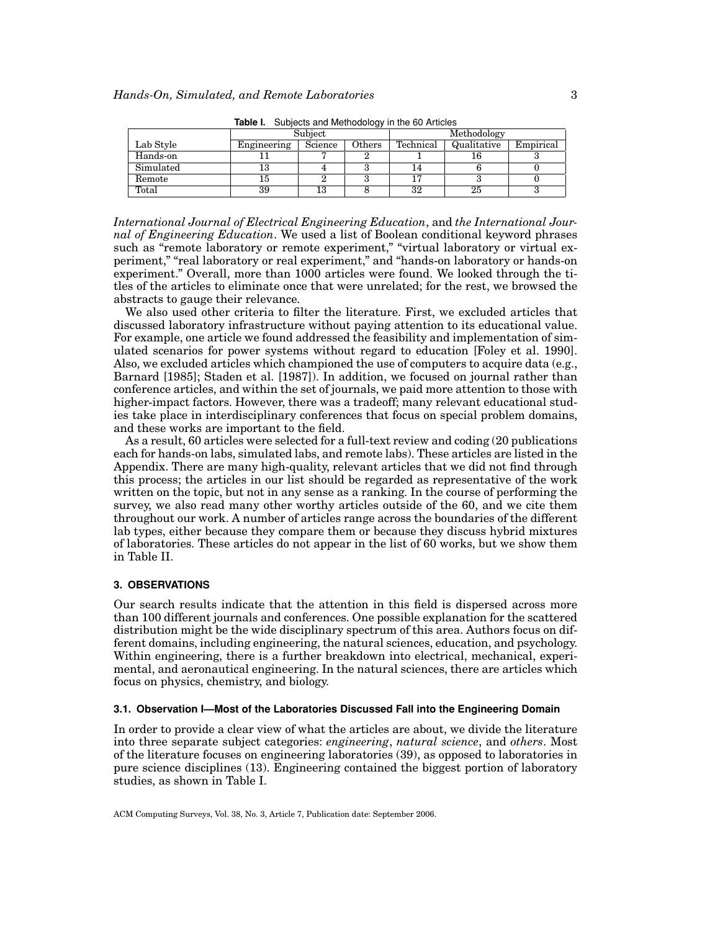| $1.441$ $1.441$ $1.441$ $1.441$ $1.441$ $1.441$ $1.441$ $1.441$ $1.441$ $1.441$ $1.441$ $1.441$ $1.441$ $1.441$ $1.441$ $1.441$ $1.441$ $1.441$ $1.441$ $1.441$ $1.441$ $1.441$ $1.441$ $1.441$ $1.441$ $1.441$ $1.441$ $1.44$ |             |         |        |             |             |           |  |
|--------------------------------------------------------------------------------------------------------------------------------------------------------------------------------------------------------------------------------|-------------|---------|--------|-------------|-------------|-----------|--|
|                                                                                                                                                                                                                                |             | Subject |        | Methodology |             |           |  |
| Lab Style                                                                                                                                                                                                                      | Engineering | Science | Others | Technical   | Qualitative | Empirical |  |
| Hands-on                                                                                                                                                                                                                       |             |         |        |             |             |           |  |
| Simulated                                                                                                                                                                                                                      |             |         |        |             |             |           |  |
| Remote                                                                                                                                                                                                                         | LЬ          |         |        |             |             |           |  |
| Total                                                                                                                                                                                                                          | 39          | 13      |        | 32          | 25          |           |  |

**Table I.** Subjects and Methodology in the 60 Articles

*International Journal of Electrical Engineering Education*, and *the International Journal of Engineering Education*. We used a list of Boolean conditional keyword phrases such as "remote laboratory or remote experiment," "virtual laboratory or virtual experiment," "real laboratory or real experiment," and "hands-on laboratory or hands-on experiment." Overall, more than 1000 articles were found. We looked through the titles of the articles to eliminate once that were unrelated; for the rest, we browsed the abstracts to gauge their relevance.

We also used other criteria to filter the literature. First, we excluded articles that discussed laboratory infrastructure without paying attention to its educational value. For example, one article we found addressed the feasibility and implementation of simulated scenarios for power systems without regard to education [Foley et al. 1990]. Also, we excluded articles which championed the use of computers to acquire data (e.g., Barnard [1985]; Staden et al. [1987]). In addition, we focused on journal rather than conference articles, and within the set of journals, we paid more attention to those with higher-impact factors. However, there was a tradeoff; many relevant educational studies take place in interdisciplinary conferences that focus on special problem domains, and these works are important to the field.

As a result, 60 articles were selected for a full-text review and coding (20 publications each for hands-on labs, simulated labs, and remote labs). These articles are listed in the Appendix. There are many high-quality, relevant articles that we did not find through this process; the articles in our list should be regarded as representative of the work written on the topic, but not in any sense as a ranking. In the course of performing the survey, we also read many other worthy articles outside of the 60, and we cite them throughout our work. A number of articles range across the boundaries of the different lab types, either because they compare them or because they discuss hybrid mixtures of laboratories. These articles do not appear in the list of 60 works, but we show them in Table II.

## **3. OBSERVATIONS**

Our search results indicate that the attention in this field is dispersed across more than 100 different journals and conferences. One possible explanation for the scattered distribution might be the wide disciplinary spectrum of this area. Authors focus on different domains, including engineering, the natural sciences, education, and psychology. Within engineering, there is a further breakdown into electrical, mechanical, experimental, and aeronautical engineering. In the natural sciences, there are articles which focus on physics, chemistry, and biology.

## **3.1. Observation I—Most of the Laboratories Discussed Fall into the Engineering Domain**

In order to provide a clear view of what the articles are about, we divide the literature into three separate subject categories: *engineering*, *natural science*, and *others*. Most of the literature focuses on engineering laboratories (39), as opposed to laboratories in pure science disciplines (13). Engineering contained the biggest portion of laboratory studies, as shown in Table I.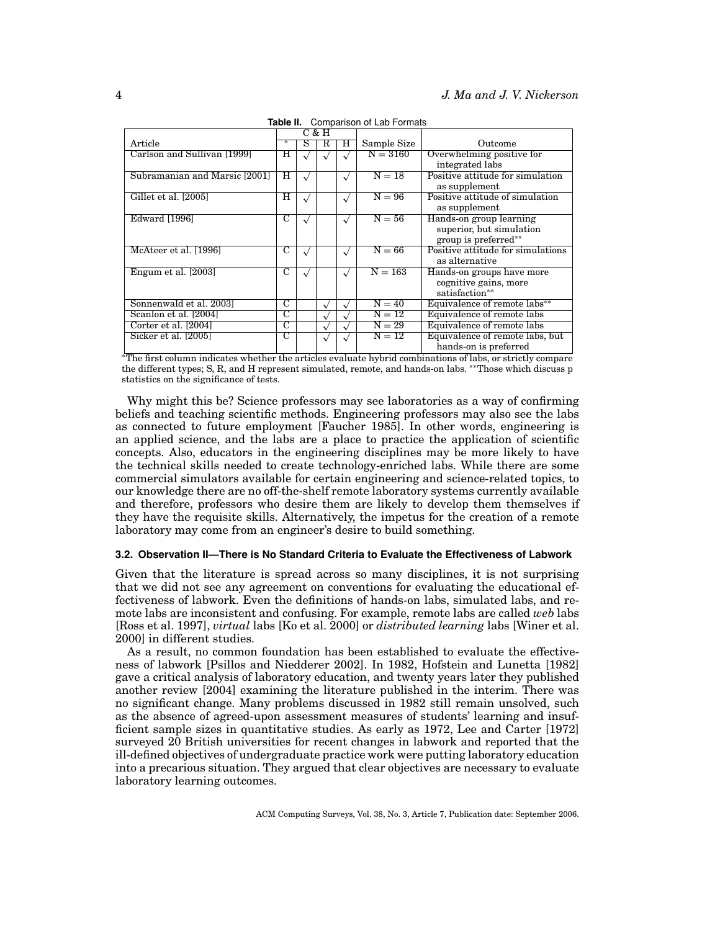|                               | C & H |              |   |        |              |                                   |
|-------------------------------|-------|--------------|---|--------|--------------|-----------------------------------|
| Article                       |       | S            | R | н      | Sample Size  | Outcome                           |
| Carlson and Sullivan [1999]   | Н     |              |   |        | $N = 3160$   | Overwhelming positive for         |
|                               |       |              |   |        |              | integrated labs                   |
| Subramanian and Marsic [2001] | н     | $\sim$       |   |        | $N = 18$     | Positive attitude for simulation  |
|                               |       |              |   |        |              | as supplement                     |
| Gillet et al. [2005]          | H     | $\checkmark$ |   | $\sim$ | $N = 96$     | Positive attitude of simulation   |
|                               |       |              |   |        |              | as supplement                     |
| Edward [1996]                 | C     | √            |   | $\sim$ | $N=56$       | Hands-on group learning           |
|                               |       |              |   |        |              | superior, but simulation          |
|                               |       |              |   |        |              | group is preferred**              |
| McAteer et al. [1996]         | C     | $\sim$       |   | $\sim$ | $N = 66$     | Positive attitude for simulations |
|                               |       |              |   |        |              | as alternative                    |
| Engum et al. $[2003]$         | C     | $\checkmark$ |   |        | $N = 163$    | Hands-on groups have more         |
|                               |       |              |   |        |              | cognitive gains, more             |
|                               |       |              |   |        |              | satisfaction**                    |
| Sonnenwald et al. 2003]       | C     |              |   |        | $N = 40$     | Equivalence of remote labs**      |
| Scanlon et al. [2004]         | C     |              |   |        | $N = 12$     | Equivalence of remote labs        |
| Corter et al. [2004]          | C     |              |   |        | ${\rm N}=29$ | Equivalence of remote labs        |
| Sicker et al. [2005]          | C     |              |   |        | $N = 12$     | Equivalence of remote labs, but   |
|                               |       |              |   |        |              | hands-on is preferred             |

**Table II.** Comparison of Lab Formats

<sup>∗</sup>The first column indicates whether the articles evaluate hybrid combinations of labs, or strictly compare the different types; S, R, and H represent simulated, remote, and hands-on labs. ∗∗Those which discuss p statistics on the significance of tests.

Why might this be? Science professors may see laboratories as a way of confirming beliefs and teaching scientific methods. Engineering professors may also see the labs as connected to future employment [Faucher 1985]. In other words, engineering is an applied science, and the labs are a place to practice the application of scientific concepts. Also, educators in the engineering disciplines may be more likely to have the technical skills needed to create technology-enriched labs. While there are some commercial simulators available for certain engineering and science-related topics, to our knowledge there are no off-the-shelf remote laboratory systems currently available and therefore, professors who desire them are likely to develop them themselves if they have the requisite skills. Alternatively, the impetus for the creation of a remote laboratory may come from an engineer's desire to build something.

#### **3.2. Observation II—There is No Standard Criteria to Evaluate the Effectiveness of Labwork**

Given that the literature is spread across so many disciplines, it is not surprising that we did not see any agreement on conventions for evaluating the educational effectiveness of labwork. Even the definitions of hands-on labs, simulated labs, and remote labs are inconsistent and confusing. For example, remote labs are called *web* labs [Ross et al. 1997], *virtual* labs [Ko et al. 2000] or *distributed learning* labs [Winer et al. 2000] in different studies.

As a result, no common foundation has been established to evaluate the effectiveness of labwork [Psillos and Niedderer 2002]. In 1982, Hofstein and Lunetta [1982] gave a critical analysis of laboratory education, and twenty years later they published another review [2004] examining the literature published in the interim. There was no significant change. Many problems discussed in 1982 still remain unsolved, such as the absence of agreed-upon assessment measures of students' learning and insufficient sample sizes in quantitative studies. As early as 1972, Lee and Carter [1972] surveyed 20 British universities for recent changes in labwork and reported that the ill-defined objectives of undergraduate practice work were putting laboratory education into a precarious situation. They argued that clear objectives are necessary to evaluate laboratory learning outcomes.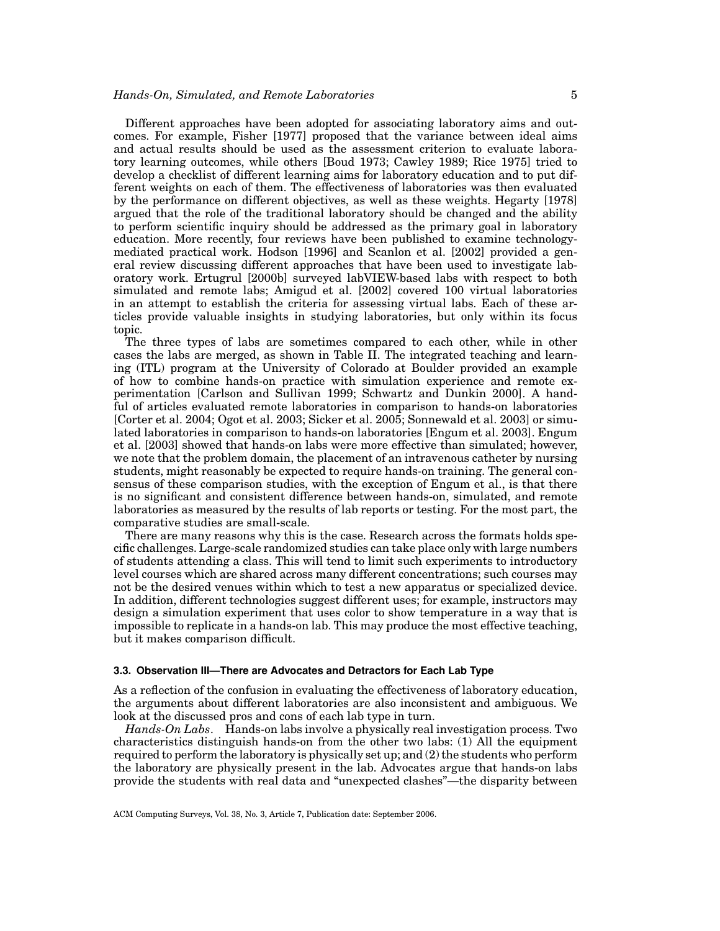Different approaches have been adopted for associating laboratory aims and outcomes. For example, Fisher [1977] proposed that the variance between ideal aims and actual results should be used as the assessment criterion to evaluate laboratory learning outcomes, while others [Boud 1973; Cawley 1989; Rice 1975] tried to develop a checklist of different learning aims for laboratory education and to put different weights on each of them. The effectiveness of laboratories was then evaluated by the performance on different objectives, as well as these weights. Hegarty [1978] argued that the role of the traditional laboratory should be changed and the ability to perform scientific inquiry should be addressed as the primary goal in laboratory education. More recently, four reviews have been published to examine technologymediated practical work. Hodson [1996] and Scanlon et al. [2002] provided a general review discussing different approaches that have been used to investigate laboratory work. Ertugrul [2000b] surveyed labVIEW-based labs with respect to both simulated and remote labs; Amigud et al. [2002] covered 100 virtual laboratories in an attempt to establish the criteria for assessing virtual labs. Each of these articles provide valuable insights in studying laboratories, but only within its focus topic.

The three types of labs are sometimes compared to each other, while in other cases the labs are merged, as shown in Table II. The integrated teaching and learning (ITL) program at the University of Colorado at Boulder provided an example of how to combine hands-on practice with simulation experience and remote experimentation [Carlson and Sullivan 1999; Schwartz and Dunkin 2000]. A handful of articles evaluated remote laboratories in comparison to hands-on laboratories [Corter et al. 2004; Ogot et al. 2003; Sicker et al. 2005; Sonnewald et al. 2003] or simulated laboratories in comparison to hands-on laboratories [Engum et al. 2003]. Engum et al. [2003] showed that hands-on labs were more effective than simulated; however, we note that the problem domain, the placement of an intravenous catheter by nursing students, might reasonably be expected to require hands-on training. The general consensus of these comparison studies, with the exception of Engum et al., is that there is no significant and consistent difference between hands-on, simulated, and remote laboratories as measured by the results of lab reports or testing. For the most part, the comparative studies are small-scale.

There are many reasons why this is the case. Research across the formats holds specific challenges. Large-scale randomized studies can take place only with large numbers of students attending a class. This will tend to limit such experiments to introductory level courses which are shared across many different concentrations; such courses may not be the desired venues within which to test a new apparatus or specialized device. In addition, different technologies suggest different uses; for example, instructors may design a simulation experiment that uses color to show temperature in a way that is impossible to replicate in a hands-on lab. This may produce the most effective teaching, but it makes comparison difficult.

#### **3.3. Observation III—There are Advocates and Detractors for Each Lab Type**

As a reflection of the confusion in evaluating the effectiveness of laboratory education, the arguments about different laboratories are also inconsistent and ambiguous. We look at the discussed pros and cons of each lab type in turn.

*Hands-On Labs*. Hands-on labs involve a physically real investigation process. Two characteristics distinguish hands-on from the other two labs: (1) All the equipment required to perform the laboratory is physically set up; and (2) the students who perform the laboratory are physically present in the lab. Advocates argue that hands-on labs provide the students with real data and "unexpected clashes"—the disparity between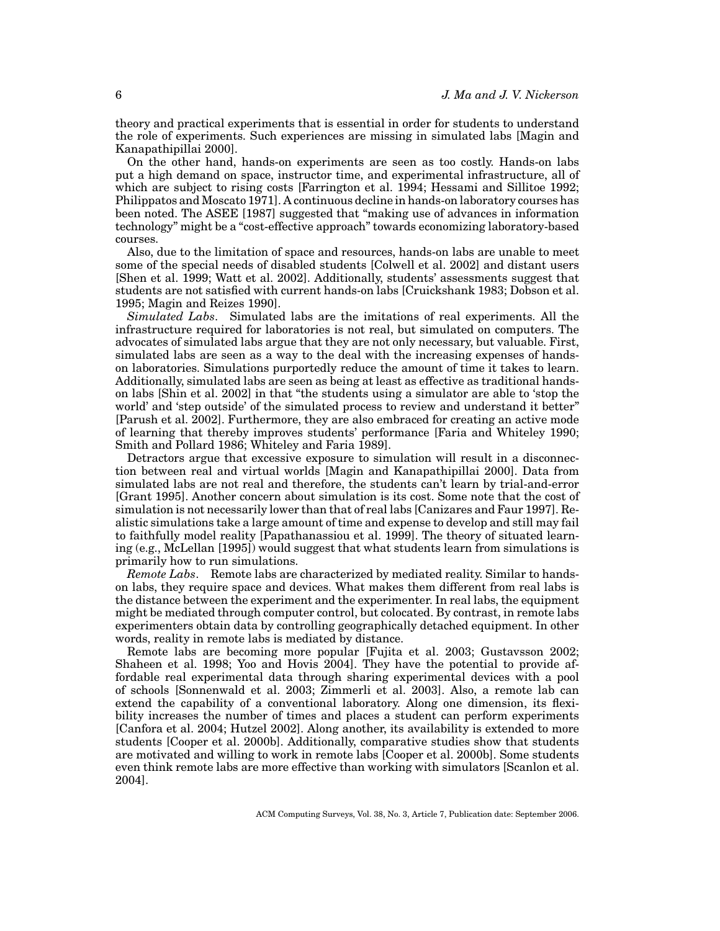theory and practical experiments that is essential in order for students to understand the role of experiments. Such experiences are missing in simulated labs [Magin and Kanapathipillai 2000].

On the other hand, hands-on experiments are seen as too costly. Hands-on labs put a high demand on space, instructor time, and experimental infrastructure, all of which are subject to rising costs [Farrington et al. 1994; Hessami and Sillitoe 1992; Philippatos and Moscato 1971]. A continuous decline in hands-on laboratory courses has been noted. The ASEE [1987] suggested that "making use of advances in information technology" might be a "cost-effective approach" towards economizing laboratory-based courses.

Also, due to the limitation of space and resources, hands-on labs are unable to meet some of the special needs of disabled students [Colwell et al. 2002] and distant users [Shen et al. 1999; Watt et al. 2002]. Additionally, students' assessments suggest that students are not satisfied with current hands-on labs [Cruickshank 1983; Dobson et al. 1995; Magin and Reizes 1990].

*Simulated Labs*. Simulated labs are the imitations of real experiments. All the infrastructure required for laboratories is not real, but simulated on computers. The advocates of simulated labs argue that they are not only necessary, but valuable. First, simulated labs are seen as a way to the deal with the increasing expenses of handson laboratories. Simulations purportedly reduce the amount of time it takes to learn. Additionally, simulated labs are seen as being at least as effective as traditional handson labs [Shin et al. 2002] in that "the students using a simulator are able to 'stop the world' and 'step outside' of the simulated process to review and understand it better" [Parush et al. 2002]. Furthermore, they are also embraced for creating an active mode of learning that thereby improves students' performance [Faria and Whiteley 1990; Smith and Pollard 1986; Whiteley and Faria 1989].

Detractors argue that excessive exposure to simulation will result in a disconnection between real and virtual worlds [Magin and Kanapathipillai 2000]. Data from simulated labs are not real and therefore, the students can't learn by trial-and-error [Grant 1995]. Another concern about simulation is its cost. Some note that the cost of simulation is not necessarily lower than that of real labs [Canizares and Faur 1997]. Realistic simulations take a large amount of time and expense to develop and still may fail to faithfully model reality [Papathanassiou et al. 1999]. The theory of situated learning (e.g., McLellan [1995]) would suggest that what students learn from simulations is primarily how to run simulations.

*Remote Labs*. Remote labs are characterized by mediated reality. Similar to handson labs, they require space and devices. What makes them different from real labs is the distance between the experiment and the experimenter. In real labs, the equipment might be mediated through computer control, but colocated. By contrast, in remote labs experimenters obtain data by controlling geographically detached equipment. In other words, reality in remote labs is mediated by distance.

Remote labs are becoming more popular [Fujita et al. 2003; Gustavsson 2002; Shaheen et al. 1998; Yoo and Hovis 2004]. They have the potential to provide affordable real experimental data through sharing experimental devices with a pool of schools [Sonnenwald et al. 2003; Zimmerli et al. 2003]. Also, a remote lab can extend the capability of a conventional laboratory. Along one dimension, its flexibility increases the number of times and places a student can perform experiments [Canfora et al. 2004; Hutzel 2002]. Along another, its availability is extended to more students [Cooper et al. 2000b]. Additionally, comparative studies show that students are motivated and willing to work in remote labs [Cooper et al. 2000b]. Some students even think remote labs are more effective than working with simulators [Scanlon et al. 2004].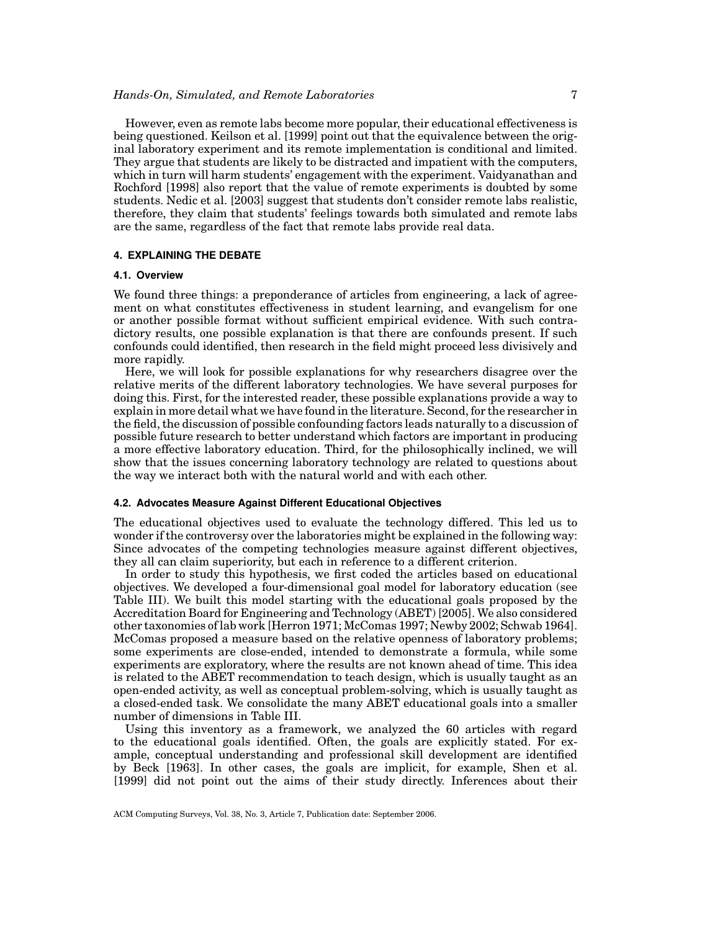## *Hands-On, Simulated, and Remote Laboratories* 7

However, even as remote labs become more popular, their educational effectiveness is being questioned. Keilson et al. [1999] point out that the equivalence between the original laboratory experiment and its remote implementation is conditional and limited. They argue that students are likely to be distracted and impatient with the computers, which in turn will harm students' engagement with the experiment. Vaidyanathan and Rochford [1998] also report that the value of remote experiments is doubted by some students. Nedic et al. [2003] suggest that students don't consider remote labs realistic, therefore, they claim that students' feelings towards both simulated and remote labs are the same, regardless of the fact that remote labs provide real data.

## **4. EXPLAINING THE DEBATE**

#### **4.1. Overview**

We found three things: a preponderance of articles from engineering, a lack of agreement on what constitutes effectiveness in student learning, and evangelism for one or another possible format without sufficient empirical evidence. With such contradictory results, one possible explanation is that there are confounds present. If such confounds could identified, then research in the field might proceed less divisively and more rapidly.

Here, we will look for possible explanations for why researchers disagree over the relative merits of the different laboratory technologies. We have several purposes for doing this. First, for the interested reader, these possible explanations provide a way to explain in more detail what we have found in the literature. Second, for the researcher in the field, the discussion of possible confounding factors leads naturally to a discussion of possible future research to better understand which factors are important in producing a more effective laboratory education. Third, for the philosophically inclined, we will show that the issues concerning laboratory technology are related to questions about the way we interact both with the natural world and with each other.

## **4.2. Advocates Measure Against Different Educational Objectives**

The educational objectives used to evaluate the technology differed. This led us to wonder if the controversy over the laboratories might be explained in the following way: Since advocates of the competing technologies measure against different objectives, they all can claim superiority, but each in reference to a different criterion.

In order to study this hypothesis, we first coded the articles based on educational objectives. We developed a four-dimensional goal model for laboratory education (see Table III). We built this model starting with the educational goals proposed by the Accreditation Board for Engineering and Technology (ABET) [2005]. We also considered other taxonomies of lab work [Herron 1971; McComas 1997; Newby 2002; Schwab 1964]. McComas proposed a measure based on the relative openness of laboratory problems; some experiments are close-ended, intended to demonstrate a formula, while some experiments are exploratory, where the results are not known ahead of time. This idea is related to the ABET recommendation to teach design, which is usually taught as an open-ended activity, as well as conceptual problem-solving, which is usually taught as a closed-ended task. We consolidate the many ABET educational goals into a smaller number of dimensions in Table III.

Using this inventory as a framework, we analyzed the 60 articles with regard to the educational goals identified. Often, the goals are explicitly stated. For example, conceptual understanding and professional skill development are identified by Beck [1963]. In other cases, the goals are implicit, for example, Shen et al. [1999] did not point out the aims of their study directly. Inferences about their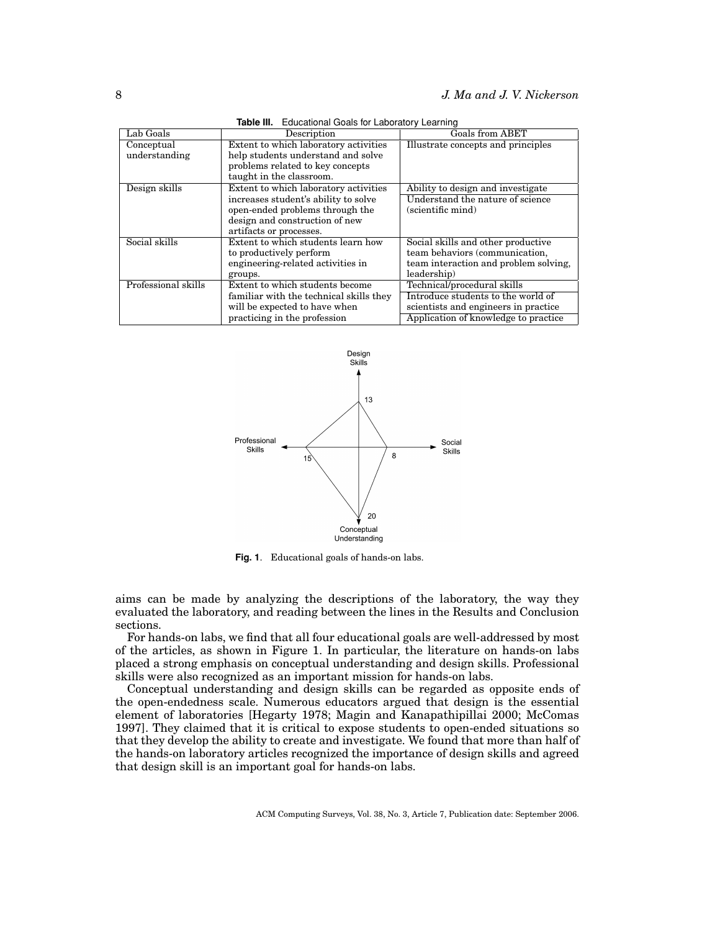| Lab Goals           | Description                             | <b>Goals from ABET</b>                |
|---------------------|-----------------------------------------|---------------------------------------|
| Conceptual          | Extent to which laboratory activities   | Illustrate concepts and principles    |
| understanding       | help students understand and solve      |                                       |
|                     | problems related to key concepts        |                                       |
|                     | taught in the classroom.                |                                       |
| Design skills       | Extent to which laboratory activities   | Ability to design and investigate     |
|                     | increases student's ability to solve    | Understand the nature of science      |
|                     | open-ended problems through the         | (scientific mind)                     |
|                     | design and construction of new          |                                       |
|                     | artifacts or processes.                 |                                       |
| Social skills       | Extent to which students learn how      | Social skills and other productive    |
|                     | to productively perform                 | team behaviors (communication,        |
|                     | engineering-related activities in       | team interaction and problem solving, |
|                     | groups.                                 | leadership)                           |
| Professional skills | Extent to which students become         | Technical/procedural skills           |
|                     | familiar with the technical skills they | Introduce students to the world of    |
|                     | will be expected to have when           | scientists and engineers in practice. |
|                     | practicing in the profession            | Application of knowledge to practice  |

**Table III.** Educational Goals for Laboratory Learning



**Fig. 1**. Educational goals of hands-on labs.

aims can be made by analyzing the descriptions of the laboratory, the way they evaluated the laboratory, and reading between the lines in the Results and Conclusion sections.

For hands-on labs, we find that all four educational goals are well-addressed by most of the articles, as shown in Figure 1. In particular, the literature on hands-on labs placed a strong emphasis on conceptual understanding and design skills. Professional skills were also recognized as an important mission for hands-on labs.

Conceptual understanding and design skills can be regarded as opposite ends of the open-endedness scale. Numerous educators argued that design is the essential element of laboratories [Hegarty 1978; Magin and Kanapathipillai 2000; McComas 1997]. They claimed that it is critical to expose students to open-ended situations so that they develop the ability to create and investigate. We found that more than half of the hands-on laboratory articles recognized the importance of design skills and agreed that design skill is an important goal for hands-on labs.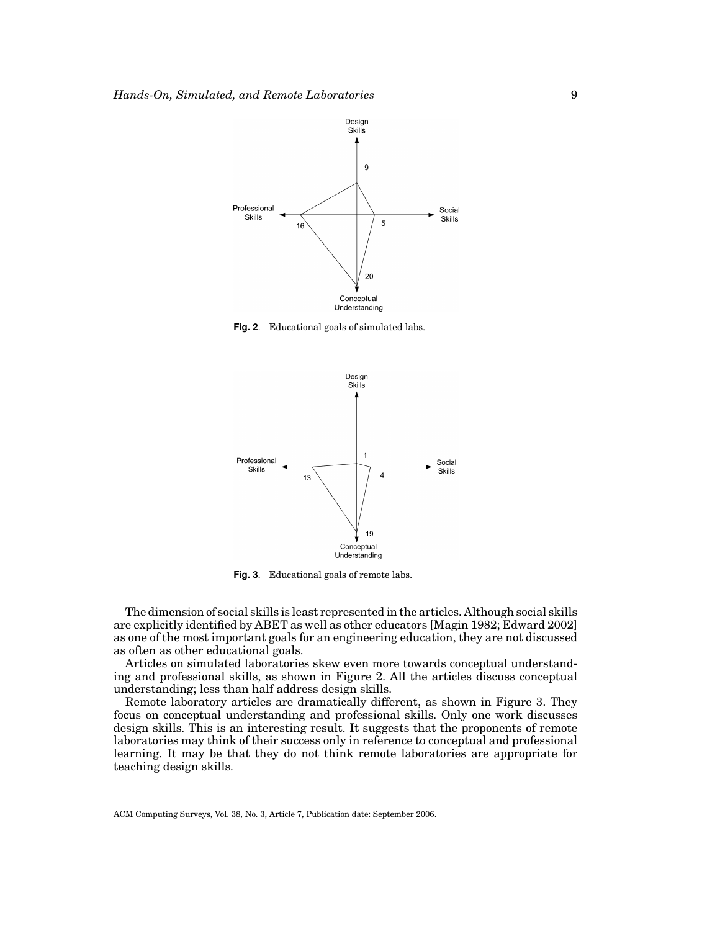

**Fig. 2**. Educational goals of simulated labs.



**Fig. 3**. Educational goals of remote labs.

The dimension of social skills is least represented in the articles. Although social skills are explicitly identified by ABET as well as other educators [Magin 1982; Edward 2002] as one of the most important goals for an engineering education, they are not discussed as often as other educational goals.

Articles on simulated laboratories skew even more towards conceptual understanding and professional skills, as shown in Figure 2. All the articles discuss conceptual understanding; less than half address design skills.

Remote laboratory articles are dramatically different, as shown in Figure 3. They focus on conceptual understanding and professional skills. Only one work discusses design skills. This is an interesting result. It suggests that the proponents of remote laboratories may think of their success only in reference to conceptual and professional learning. It may be that they do not think remote laboratories are appropriate for teaching design skills.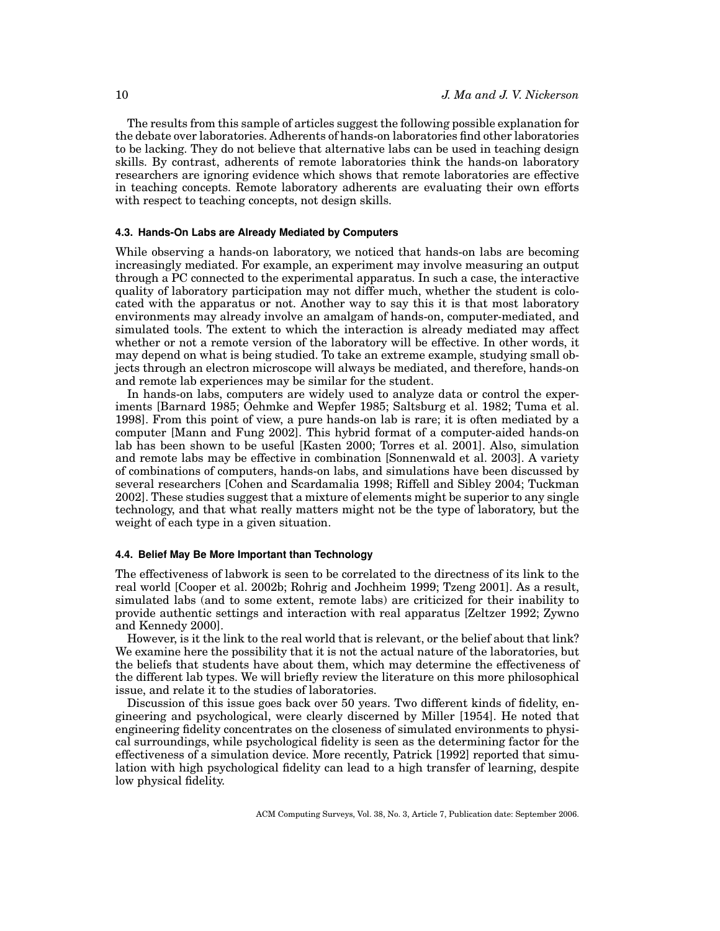The results from this sample of articles suggest the following possible explanation for the debate over laboratories. Adherents of hands-on laboratories find other laboratories to be lacking. They do not believe that alternative labs can be used in teaching design skills. By contrast, adherents of remote laboratories think the hands-on laboratory researchers are ignoring evidence which shows that remote laboratories are effective in teaching concepts. Remote laboratory adherents are evaluating their own efforts with respect to teaching concepts, not design skills.

## **4.3. Hands-On Labs are Already Mediated by Computers**

While observing a hands-on laboratory, we noticed that hands-on labs are becoming increasingly mediated. For example, an experiment may involve measuring an output through a PC connected to the experimental apparatus. In such a case, the interactive quality of laboratory participation may not differ much, whether the student is colocated with the apparatus or not. Another way to say this it is that most laboratory environments may already involve an amalgam of hands-on, computer-mediated, and simulated tools. The extent to which the interaction is already mediated may affect whether or not a remote version of the laboratory will be effective. In other words, it may depend on what is being studied. To take an extreme example, studying small objects through an electron microscope will always be mediated, and therefore, hands-on and remote lab experiences may be similar for the student.

In hands-on labs, computers are widely used to analyze data or control the experiments [Barnard 1985; Oehmke and Wepfer 1985; Saltsburg et al. 1982; Tuma et al. 1998]. From this point of view, a pure hands-on lab is rare; it is often mediated by a computer [Mann and Fung 2002]. This hybrid format of a computer-aided hands-on lab has been shown to be useful [Kasten 2000; Torres et al. 2001]. Also, simulation and remote labs may be effective in combination [Sonnenwald et al. 2003]. A variety of combinations of computers, hands-on labs, and simulations have been discussed by several researchers [Cohen and Scardamalia 1998; Riffell and Sibley 2004; Tuckman 2002]. These studies suggest that a mixture of elements might be superior to any single technology, and that what really matters might not be the type of laboratory, but the weight of each type in a given situation.

#### **4.4. Belief May Be More Important than Technology**

The effectiveness of labwork is seen to be correlated to the directness of its link to the real world [Cooper et al. 2002b; Rohrig and Jochheim 1999; Tzeng 2001]. As a result, simulated labs (and to some extent, remote labs) are criticized for their inability to provide authentic settings and interaction with real apparatus [Zeltzer 1992; Zywno and Kennedy 2000].

However, is it the link to the real world that is relevant, or the belief about that link? We examine here the possibility that it is not the actual nature of the laboratories, but the beliefs that students have about them, which may determine the effectiveness of the different lab types. We will briefly review the literature on this more philosophical issue, and relate it to the studies of laboratories.

Discussion of this issue goes back over 50 years. Two different kinds of fidelity, engineering and psychological, were clearly discerned by Miller [1954]. He noted that engineering fidelity concentrates on the closeness of simulated environments to physical surroundings, while psychological fidelity is seen as the determining factor for the effectiveness of a simulation device. More recently, Patrick [1992] reported that simulation with high psychological fidelity can lead to a high transfer of learning, despite low physical fidelity.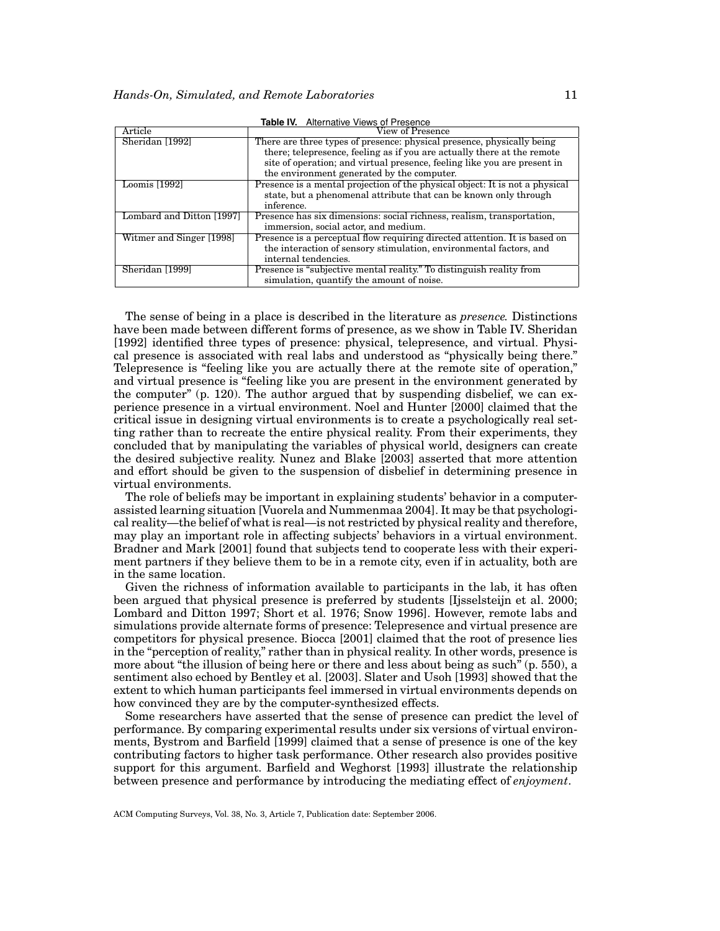|                           | <b>IMMIC IT.</b> THEFTHALLY THEIR OF FRONTING                                |
|---------------------------|------------------------------------------------------------------------------|
| Article                   | View of Presence                                                             |
| Sheridan [1992]           | There are three types of presence: physical presence, physically being       |
|                           | there; telepresence, feeling as if you are actually there at the remote      |
|                           | site of operation; and virtual presence, feeling like you are present in     |
|                           | the environment generated by the computer.                                   |
| Loomis [1992]             | Presence is a mental projection of the physical object: It is not a physical |
|                           | state, but a phenomenal attribute that can be known only through             |
|                           | inference.                                                                   |
| Lombard and Ditton [1997] | Presence has six dimensions: social richness, realism, transportation,       |
|                           | immersion, social actor, and medium.                                         |
| Witmer and Singer [1998]  | Presence is a perceptual flow requiring directed attention. It is based on   |
|                           | the interaction of sensory stimulation, environmental factors, and           |
|                           | internal tendencies.                                                         |
| Sheridan [1999]           | Presence is "subjective mental reality." To distinguish reality from         |
|                           | simulation, quantify the amount of noise.                                    |

**Table IV.** Alternative Views of Presence

The sense of being in a place is described in the literature as *presence.* Distinctions have been made between different forms of presence, as we show in Table IV. Sheridan [1992] identified three types of presence: physical, telepresence, and virtual. Physical presence is associated with real labs and understood as "physically being there." Telepresence is "feeling like you are actually there at the remote site of operation," and virtual presence is "feeling like you are present in the environment generated by the computer" (p. 120). The author argued that by suspending disbelief, we can experience presence in a virtual environment. Noel and Hunter [2000] claimed that the critical issue in designing virtual environments is to create a psychologically real setting rather than to recreate the entire physical reality. From their experiments, they concluded that by manipulating the variables of physical world, designers can create the desired subjective reality. Nunez and Blake [2003] asserted that more attention and effort should be given to the suspension of disbelief in determining presence in virtual environments.

The role of beliefs may be important in explaining students' behavior in a computerassisted learning situation [Vuorela and Nummenmaa 2004]. It may be that psychological reality—the belief of what is real—is not restricted by physical reality and therefore, may play an important role in affecting subjects' behaviors in a virtual environment. Bradner and Mark [2001] found that subjects tend to cooperate less with their experiment partners if they believe them to be in a remote city, even if in actuality, both are in the same location.

Given the richness of information available to participants in the lab, it has often been argued that physical presence is preferred by students [Ijsselsteijn et al. 2000; Lombard and Ditton 1997; Short et al. 1976; Snow 1996]. However, remote labs and simulations provide alternate forms of presence: Telepresence and virtual presence are competitors for physical presence. Biocca [2001] claimed that the root of presence lies in the "perception of reality," rather than in physical reality. In other words, presence is more about "the illusion of being here or there and less about being as such" (p. 550), a sentiment also echoed by Bentley et al. [2003]. Slater and Usoh [1993] showed that the extent to which human participants feel immersed in virtual environments depends on how convinced they are by the computer-synthesized effects.

Some researchers have asserted that the sense of presence can predict the level of performance. By comparing experimental results under six versions of virtual environments, Bystrom and Barfield [1999] claimed that a sense of presence is one of the key contributing factors to higher task performance. Other research also provides positive support for this argument. Barfield and Weghorst [1993] illustrate the relationship between presence and performance by introducing the mediating effect of *enjoyment*.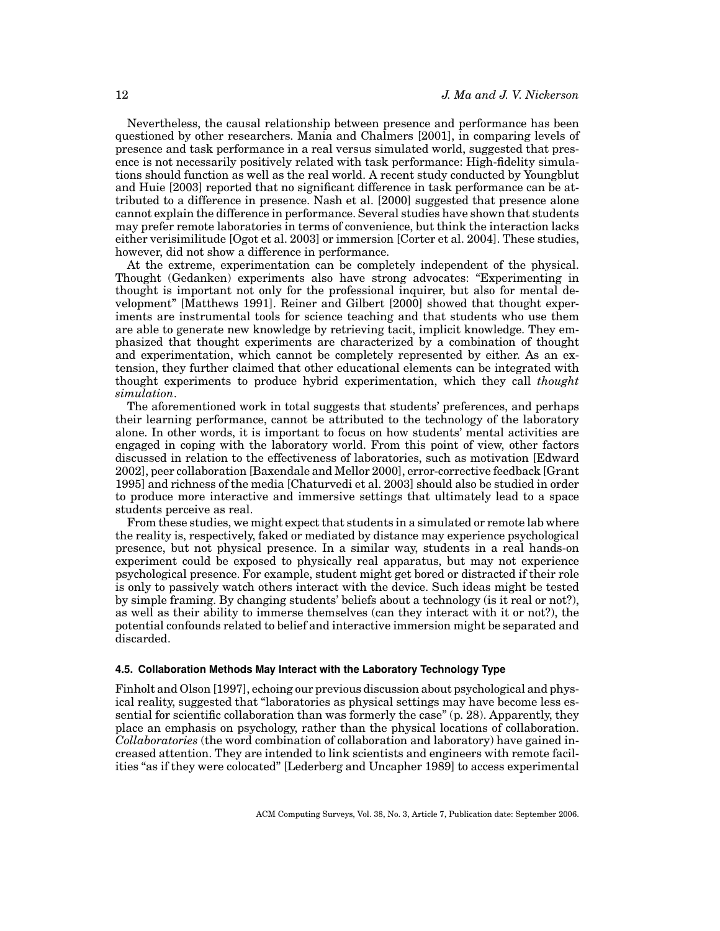Nevertheless, the causal relationship between presence and performance has been questioned by other researchers. Mania and Chalmers [2001], in comparing levels of presence and task performance in a real versus simulated world, suggested that presence is not necessarily positively related with task performance: High-fidelity simulations should function as well as the real world. A recent study conducted by Youngblut and Huie [2003] reported that no significant difference in task performance can be attributed to a difference in presence. Nash et al. [2000] suggested that presence alone cannot explain the difference in performance. Several studies have shown that students may prefer remote laboratories in terms of convenience, but think the interaction lacks either verisimilitude [Ogot et al. 2003] or immersion [Corter et al. 2004]. These studies, however, did not show a difference in performance.

At the extreme, experimentation can be completely independent of the physical. Thought (Gedanken) experiments also have strong advocates: "Experimenting in thought is important not only for the professional inquirer, but also for mental development" [Matthews 1991]. Reiner and Gilbert [2000] showed that thought experiments are instrumental tools for science teaching and that students who use them are able to generate new knowledge by retrieving tacit, implicit knowledge. They emphasized that thought experiments are characterized by a combination of thought and experimentation, which cannot be completely represented by either. As an extension, they further claimed that other educational elements can be integrated with thought experiments to produce hybrid experimentation, which they call *thought simulation*.

The aforementioned work in total suggests that students' preferences, and perhaps their learning performance, cannot be attributed to the technology of the laboratory alone. In other words, it is important to focus on how students' mental activities are engaged in coping with the laboratory world. From this point of view, other factors discussed in relation to the effectiveness of laboratories, such as motivation [Edward 2002], peer collaboration [Baxendale and Mellor 2000], error-corrective feedback [Grant 1995] and richness of the media [Chaturvedi et al. 2003] should also be studied in order to produce more interactive and immersive settings that ultimately lead to a space students perceive as real.

From these studies, we might expect that students in a simulated or remote lab where the reality is, respectively, faked or mediated by distance may experience psychological presence, but not physical presence. In a similar way, students in a real hands-on experiment could be exposed to physically real apparatus, but may not experience psychological presence. For example, student might get bored or distracted if their role is only to passively watch others interact with the device. Such ideas might be tested by simple framing. By changing students' beliefs about a technology (is it real or not?), as well as their ability to immerse themselves (can they interact with it or not?), the potential confounds related to belief and interactive immersion might be separated and discarded.

#### **4.5. Collaboration Methods May Interact with the Laboratory Technology Type**

Finholt and Olson [1997], echoing our previous discussion about psychological and physical reality, suggested that "laboratories as physical settings may have become less essential for scientific collaboration than was formerly the case" (p. 28). Apparently, they place an emphasis on psychology, rather than the physical locations of collaboration. *Collaboratories* (the word combination of collaboration and laboratory) have gained increased attention. They are intended to link scientists and engineers with remote facilities "as if they were colocated" [Lederberg and Uncapher 1989] to access experimental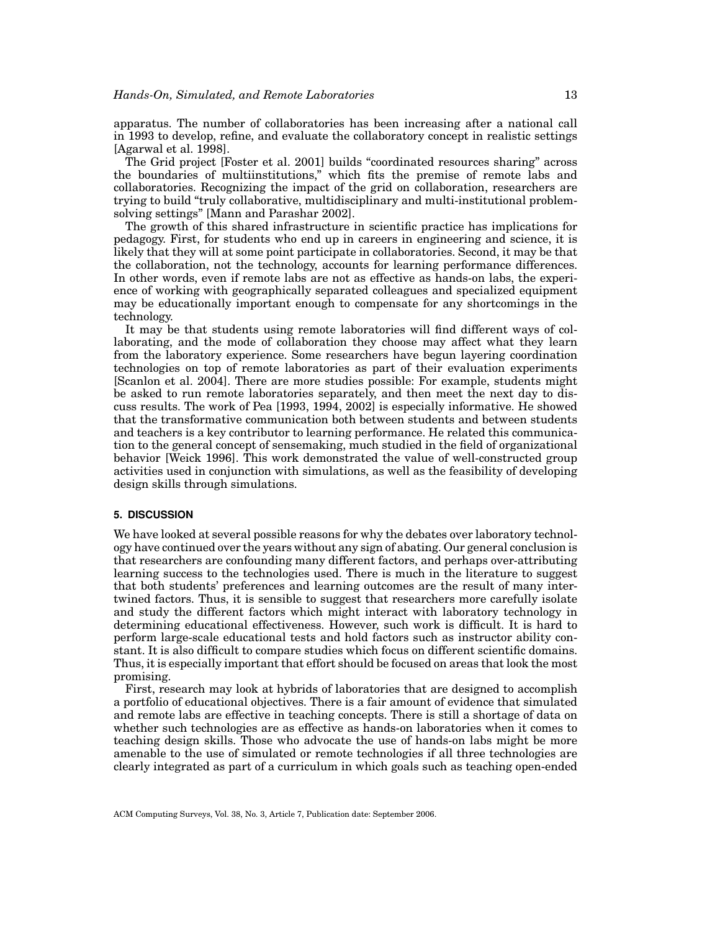apparatus. The number of collaboratories has been increasing after a national call in 1993 to develop, refine, and evaluate the collaboratory concept in realistic settings [Agarwal et al. 1998].

The Grid project [Foster et al. 2001] builds "coordinated resources sharing" across the boundaries of multiinstitutions," which fits the premise of remote labs and collaboratories. Recognizing the impact of the grid on collaboration, researchers are trying to build "truly collaborative, multidisciplinary and multi-institutional problemsolving settings" [Mann and Parashar 2002].

The growth of this shared infrastructure in scientific practice has implications for pedagogy. First, for students who end up in careers in engineering and science, it is likely that they will at some point participate in collaboratories. Second, it may be that the collaboration, not the technology, accounts for learning performance differences. In other words, even if remote labs are not as effective as hands-on labs, the experience of working with geographically separated colleagues and specialized equipment may be educationally important enough to compensate for any shortcomings in the technology.

It may be that students using remote laboratories will find different ways of collaborating, and the mode of collaboration they choose may affect what they learn from the laboratory experience. Some researchers have begun layering coordination technologies on top of remote laboratories as part of their evaluation experiments [Scanlon et al. 2004]. There are more studies possible: For example, students might be asked to run remote laboratories separately, and then meet the next day to discuss results. The work of Pea [1993, 1994, 2002] is especially informative. He showed that the transformative communication both between students and between students and teachers is a key contributor to learning performance. He related this communication to the general concept of sensemaking, much studied in the field of organizational behavior [Weick 1996]. This work demonstrated the value of well-constructed group activities used in conjunction with simulations, as well as the feasibility of developing design skills through simulations.

## **5. DISCUSSION**

We have looked at several possible reasons for why the debates over laboratory technology have continued over the years without any sign of abating. Our general conclusion is that researchers are confounding many different factors, and perhaps over-attributing learning success to the technologies used. There is much in the literature to suggest that both students' preferences and learning outcomes are the result of many intertwined factors. Thus, it is sensible to suggest that researchers more carefully isolate and study the different factors which might interact with laboratory technology in determining educational effectiveness. However, such work is difficult. It is hard to perform large-scale educational tests and hold factors such as instructor ability constant. It is also difficult to compare studies which focus on different scientific domains. Thus, it is especially important that effort should be focused on areas that look the most promising.

First, research may look at hybrids of laboratories that are designed to accomplish a portfolio of educational objectives. There is a fair amount of evidence that simulated and remote labs are effective in teaching concepts. There is still a shortage of data on whether such technologies are as effective as hands-on laboratories when it comes to teaching design skills. Those who advocate the use of hands-on labs might be more amenable to the use of simulated or remote technologies if all three technologies are clearly integrated as part of a curriculum in which goals such as teaching open-ended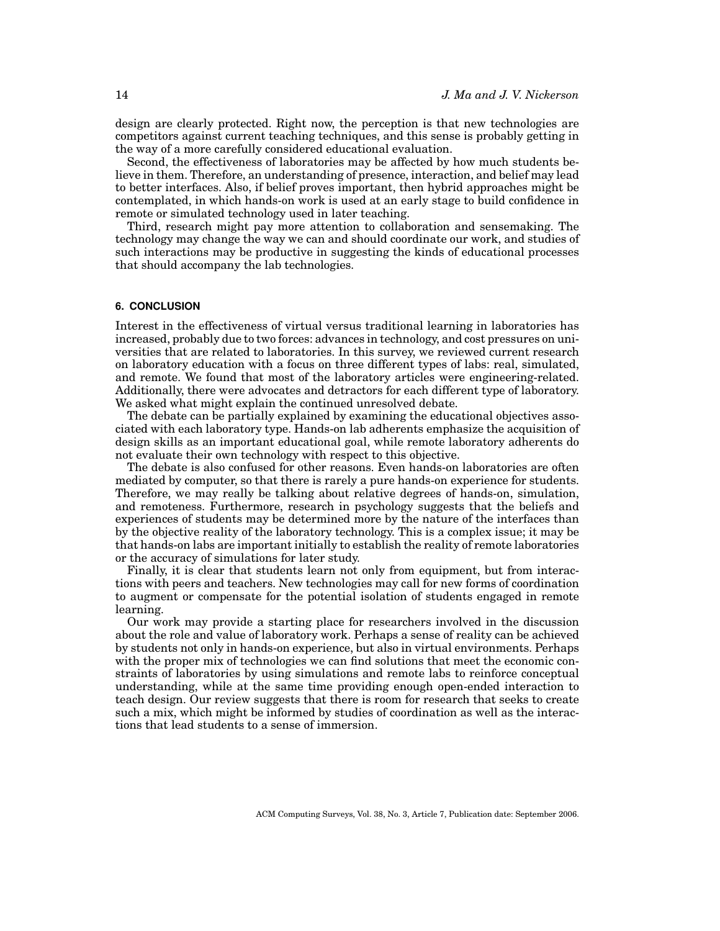design are clearly protected. Right now, the perception is that new technologies are competitors against current teaching techniques, and this sense is probably getting in the way of a more carefully considered educational evaluation.

Second, the effectiveness of laboratories may be affected by how much students believe in them. Therefore, an understanding of presence, interaction, and belief may lead to better interfaces. Also, if belief proves important, then hybrid approaches might be contemplated, in which hands-on work is used at an early stage to build confidence in remote or simulated technology used in later teaching.

Third, research might pay more attention to collaboration and sensemaking. The technology may change the way we can and should coordinate our work, and studies of such interactions may be productive in suggesting the kinds of educational processes that should accompany the lab technologies.

#### **6. CONCLUSION**

Interest in the effectiveness of virtual versus traditional learning in laboratories has increased, probably due to two forces: advances in technology, and cost pressures on universities that are related to laboratories. In this survey, we reviewed current research on laboratory education with a focus on three different types of labs: real, simulated, and remote. We found that most of the laboratory articles were engineering-related. Additionally, there were advocates and detractors for each different type of laboratory. We asked what might explain the continued unresolved debate.

The debate can be partially explained by examining the educational objectives associated with each laboratory type. Hands-on lab adherents emphasize the acquisition of design skills as an important educational goal, while remote laboratory adherents do not evaluate their own technology with respect to this objective.

The debate is also confused for other reasons. Even hands-on laboratories are often mediated by computer, so that there is rarely a pure hands-on experience for students. Therefore, we may really be talking about relative degrees of hands-on, simulation, and remoteness. Furthermore, research in psychology suggests that the beliefs and experiences of students may be determined more by the nature of the interfaces than by the objective reality of the laboratory technology. This is a complex issue; it may be that hands-on labs are important initially to establish the reality of remote laboratories or the accuracy of simulations for later study.

Finally, it is clear that students learn not only from equipment, but from interactions with peers and teachers. New technologies may call for new forms of coordination to augment or compensate for the potential isolation of students engaged in remote learning.

Our work may provide a starting place for researchers involved in the discussion about the role and value of laboratory work. Perhaps a sense of reality can be achieved by students not only in hands-on experience, but also in virtual environments. Perhaps with the proper mix of technologies we can find solutions that meet the economic constraints of laboratories by using simulations and remote labs to reinforce conceptual understanding, while at the same time providing enough open-ended interaction to teach design. Our review suggests that there is room for research that seeks to create such a mix, which might be informed by studies of coordination as well as the interactions that lead students to a sense of immersion.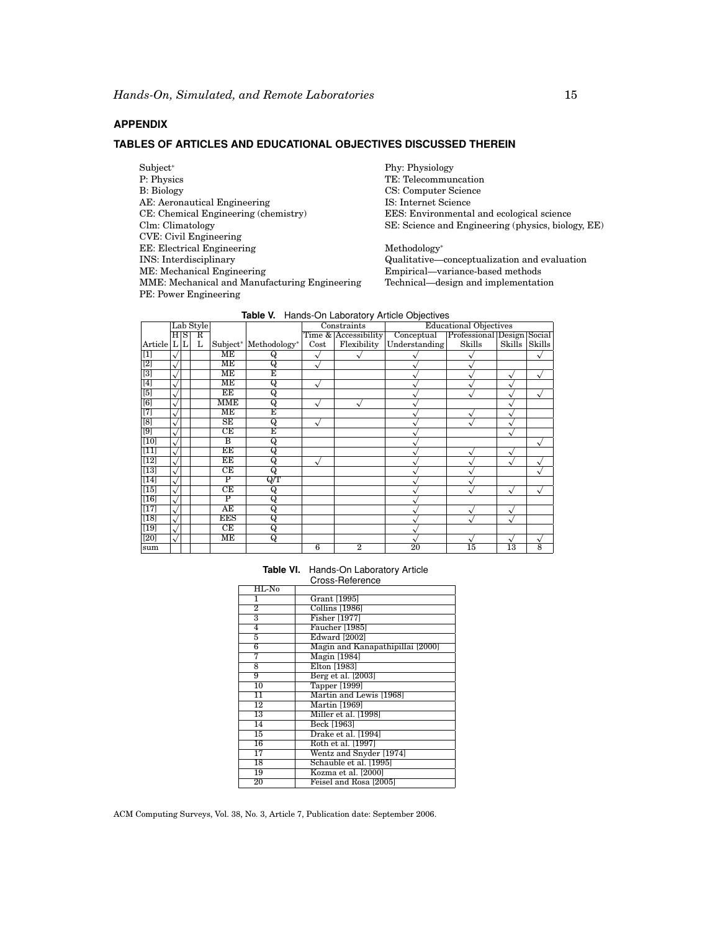## **APPENDIX**

## **TABLES OF ARTICLES AND EDUCATIONAL OBJECTIVES DISCUSSED THEREIN**

Subject<sup>∗</sup> Phy: Physiology P: Physics TE: Telecommuncation<br>B: Biology CS: Computer Science AE: Aeronautical Engineering<br>CE: Chemical Engineering (chemistry) CE: Chemical Engineering (chemistry) EES: Environmental and ecological science CVE: Civil Engineering EE: Electrical Engineering Methodology∗<br>INS: Interdisciplinary Qualitative— INS: Interdisciplinary Qualitative—conceptualization and evaluation MME: Mechanical and Manufacturing Engineering PE: Power Engineering

CS: Computer Science<br>IS: Internet Science SE: Science and Engineering (physics, biology, EE)

Empirical—variance-based methods<br>Technical—design and implementation

|         |              | Lab Style |             |                       |                | Constraints          | <b>Educational Objectives</b> |                            |               |        |
|---------|--------------|-----------|-------------|-----------------------|----------------|----------------------|-------------------------------|----------------------------|---------------|--------|
|         | H S          | R         |             |                       |                | Time & Accessibility | Conceptual                    | Professional Design Social |               |        |
| Article | L L          | L         |             | Subject* Methodology* | Cost           | Flexibility          | Understanding                 | Skills                     | <b>Skills</b> | Skills |
| $[1]$   | √            |           | MЕ          | Q                     | $\checkmark$   |                      |                               |                            |               |        |
| $[2]$   | $\checkmark$ |           | MЕ          | Q                     |                |                      |                               |                            |               |        |
| $[3]$   | $\checkmark$ |           | МE          | Ε                     |                |                      |                               |                            |               |        |
| $[4]$   | N            |           | ME          | Q                     |                |                      |                               |                            |               |        |
| [5]     | ٧            |           | EE          | Q                     |                |                      |                               |                            |               |        |
| [6]     | ٧            |           | <b>MME</b>  | Q                     |                |                      |                               |                            |               |        |
| $[7]$   | $\checkmark$ |           | MЕ          | E                     |                |                      |                               |                            |               |        |
| [8]     | ٧            |           | SE          | Q                     | $\checkmark$   |                      |                               |                            |               |        |
| $[9]$   | $\checkmark$ |           | CE          | Ε                     |                |                      |                               |                            |               |        |
| $[10]$  | $\checkmark$ |           | B           | Q                     |                |                      |                               |                            |               |        |
| $[11]$  | $\checkmark$ |           | EЕ          | Q                     |                |                      |                               |                            |               |        |
| $[12]$  | $\checkmark$ |           | EЕ          | Q                     | $\checkmark$   |                      |                               |                            |               |        |
| $[13]$  | $\checkmark$ |           | CE          | Q                     |                |                      |                               |                            |               |        |
| $[14]$  | $\checkmark$ |           | P           | Q/T                   |                |                      |                               |                            |               |        |
| $[15]$  | $\checkmark$ |           | $_{\rm CE}$ | Q                     |                |                      |                               |                            |               |        |
| $[16]$  | $\checkmark$ |           | $_{\rm P}$  | Q                     |                |                      |                               |                            |               |        |
| $[17]$  | $\checkmark$ |           | AE          | Q                     |                |                      |                               |                            |               |        |
| $[18]$  | $\checkmark$ |           | <b>EES</b>  | Q                     |                |                      |                               |                            |               |        |
| $[19]$  | $\checkmark$ |           | CE          | Q                     |                |                      |                               |                            |               |        |
| [20]    | $\checkmark$ |           | MЕ          | Q                     |                |                      |                               |                            |               |        |
| sum     |              |           |             |                       | $\overline{6}$ | $\overline{2}$       | 20                            | 15                         | 13            | 8      |

**Table V.** Hands-On Laboratory Article Objectives

#### **Table VI.** Hands-On Laboratory Article Cross-Reference

| $\overline{\text{HL}}$ -No |                                  |
|----------------------------|----------------------------------|
| 1                          | Grant [1995]                     |
| $\overline{2}$             | Collins [1986]                   |
| 3                          | Fisher [1977]                    |
| 4                          | Faucher [1985]                   |
| 5                          | Edward [2002]                    |
| 6                          | Magin and Kanapathipillai [2000] |
| 7                          | Magin [1984]                     |
| 8                          | Elton [1983]                     |
| 9                          | Berg et al. [2003]               |
| 10                         | Tapper [1999]                    |
| $\overline{11}$            | Martin and Lewis [1968]          |
| 12                         | Martin [1969]                    |
| 13                         | Miller et al. [1998]             |
| 14                         | Beck [1963]                      |
| 15                         | Drake et al. [1994]              |
| 16                         | Roth et al. [1997]               |
| 17                         | Wentz and Snyder [1974]          |
| 18                         | Schauble et al. [1995]           |
| 19                         | Kozma et al. [2000]              |
| 20                         | Feisel and Rosa [2005]           |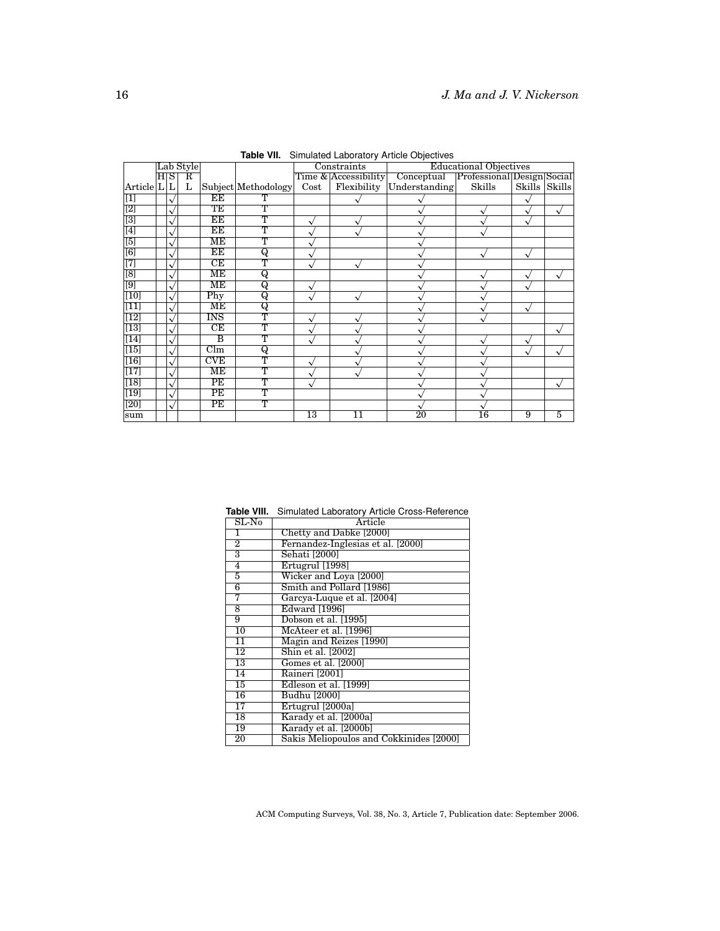|                                                                                                                                                                                                                                                          | Lab Style |   |            |                       |            | Constraints |                                 | <b>Educational Objectives</b> |                          |        |
|----------------------------------------------------------------------------------------------------------------------------------------------------------------------------------------------------------------------------------------------------------|-----------|---|------------|-----------------------|------------|-------------|---------------------------------|-------------------------------|--------------------------|--------|
|                                                                                                                                                                                                                                                          | S<br>H    | R |            |                       |            |             | Time & Accessibility Conceptual | Professional Design Social    |                          |        |
| Article L                                                                                                                                                                                                                                                | L         | L |            | Subject Methodology   | $\rm Cost$ | Flexibility | Understanding                   | Skills                        | Skills                   | Skills |
|                                                                                                                                                                                                                                                          | 丷         |   | EE         |                       |            |             |                                 |                               |                          |        |
| $[2] % \includegraphics[width=0.9\columnwidth]{figures/fig_1a} \caption{The figure shows the number of times, and the number of times, and the number of times, and the number of times, are indicated with the same time.} \label{fig:1} %$             | 丷         |   | TE         |                       |            |             |                                 |                               |                          |        |
| $[3]$                                                                                                                                                                                                                                                    | √         |   | EЕ         | т                     |            |             |                                 |                               |                          |        |
| $[4]$                                                                                                                                                                                                                                                    | √         |   | EE         | Т                     |            |             |                                 |                               |                          |        |
| [5]                                                                                                                                                                                                                                                      | √         |   | ME         | т                     |            |             |                                 |                               |                          |        |
| [6]                                                                                                                                                                                                                                                      |           |   | EE         | Q                     |            |             |                                 |                               |                          |        |
| $[7] \centering% \includegraphics[width=1.0\textwidth]{images/TrDiM1.png} \caption{The 3D (top) and the 4D (bottom) of the 3D (bottom) and the 4D (bottom) of the 3D (bottom) and the 4D (bottom) of the 3D (bottom) of the 3D (bottom).} \label{TrDiS}$ | 丷         |   | CЕ         | Ͳ                     |            |             |                                 |                               |                          |        |
| [8]                                                                                                                                                                                                                                                      | 丷         |   | МE         | Q                     |            |             |                                 |                               |                          |        |
| $[9]$                                                                                                                                                                                                                                                    | ∨         |   | MЕ         | Q                     |            |             |                                 |                               |                          |        |
| $[10]$                                                                                                                                                                                                                                                   |           |   | Phy        | Q                     |            |             |                                 |                               |                          |        |
| $[11]$                                                                                                                                                                                                                                                   | ∿         |   | ME         | $\overline{\text{Q}}$ |            |             |                                 |                               | $\overline{\phantom{a}}$ |        |
| $[12]$                                                                                                                                                                                                                                                   | 丷         |   | <b>INS</b> | Т                     |            |             |                                 |                               |                          |        |
| $[13]$                                                                                                                                                                                                                                                   | 丷         |   | CE         | ፐ                     |            |             |                                 |                               |                          |        |
| $[14]$                                                                                                                                                                                                                                                   | √         |   | B          |                       |            |             |                                 |                               |                          |        |
| $[15]$                                                                                                                                                                                                                                                   | 丷         |   | Clm        | Q                     |            |             |                                 |                               |                          |        |
| $[16]$                                                                                                                                                                                                                                                   | √         |   | CVE        |                       |            |             |                                 |                               |                          |        |
| $[17]$                                                                                                                                                                                                                                                   | 丷         |   | MЕ         | т                     |            |             |                                 |                               |                          |        |
| $[18]$                                                                                                                                                                                                                                                   |           |   | PE         | т                     |            |             |                                 |                               |                          |        |
| $[19]$                                                                                                                                                                                                                                                   | 丷         |   | PE         | т                     |            |             |                                 |                               |                          |        |
| [20]                                                                                                                                                                                                                                                     |           |   | PE         | т                     |            |             |                                 |                               |                          |        |
| sum                                                                                                                                                                                                                                                      |           |   |            |                       | $13\,$     | $11\,$      | 20                              | 16                            | 9                        | 5      |

**Table VII.** Simulated Laboratory Article Objectives

| iavie viii.     | Simulated Laboratory Article Cross-Relefence |
|-----------------|----------------------------------------------|
| $SL-No$         | Article                                      |
| 1               | Chetty and Dabke [2000]                      |
| $\overline{2}$  | Fernandez-Inglesias et al. [2000]            |
| 3               | Sehati [2000]                                |
| 4               | Ertugrul [1998]                              |
| 5               | Wicker and Loya [2000]                       |
| 6               | Smith and Pollard [1986]                     |
| 7               | Garcya-Luque et al. [2004]                   |
| 8               | Edward [1996]                                |
| 9               | Dobson et al. [1995]                         |
| $\overline{10}$ | McAteer et al. [1996]                        |
| $11\,$          | Magin and Reizes [1990]                      |
| 12              | Shin et al. [2002]                           |
| $13\,$          | Gomes et al. [2000]                          |
| 14              | Raineri [2001]                               |
| 15              | Edleson et al. [1999]                        |
| $\overline{16}$ | Budhu [2000]                                 |
| 17              | Ertugrul [2000a]                             |
| $\overline{18}$ | Karady et al. [2000a]                        |
| 19              | Karady et al. [2000b]                        |
| $\overline{20}$ | Sakis Meliopoulos and Cokkinides [2000]      |

**Table VIII.** Simulated Laboratory Article Cross-Reference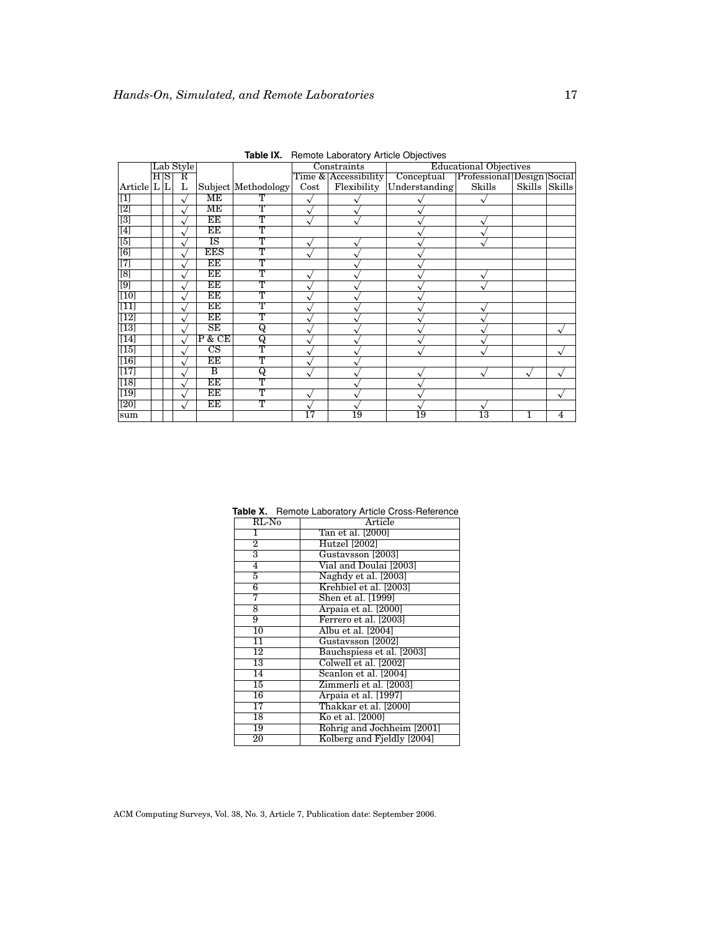|                                                                                                                                                                          |     | Lab Style |                        |                     | Constraints |             | .<br><b>Educational Objectives</b> |                            |        |        |  |
|--------------------------------------------------------------------------------------------------------------------------------------------------------------------------|-----|-----------|------------------------|---------------------|-------------|-------------|------------------------------------|----------------------------|--------|--------|--|
|                                                                                                                                                                          | H S | R         |                        |                     |             |             | Time & Accessibility Conceptual    | Professional Design Social |        |        |  |
| Article                                                                                                                                                                  | L L | L         |                        | Subject Methodology | $\rm Cost$  | Flexibility | Understanding                      | Skills                     | Skills | Skills |  |
|                                                                                                                                                                          |     |           | MЕ                     | т                   |             |             |                                    |                            |        |        |  |
| $[2] % \includegraphics[width=0.9\columnwidth]{figures/fig_1a} \caption{The 3D (black) model for the estimators in the left and right.} \label{fig:1} %$                 |     |           | MЕ                     | т                   |             |             |                                    |                            |        |        |  |
| $[3] % \includegraphics[width=0.9\columnwidth]{figures/fig_0_2.pdf} \caption{Schematic diagram of the top of the top of the top of the top of the right.} \label{fig:2}$ |     |           | ΕE                     | т                   |             |             |                                    |                            |        |        |  |
| $[4]$                                                                                                                                                                    |     |           | EE                     | т                   |             |             |                                    |                            |        |        |  |
| [5]                                                                                                                                                                      |     |           | ΙS                     | т                   |             |             |                                    |                            |        |        |  |
| [6]                                                                                                                                                                      |     |           | <b>EES</b>             | т                   |             |             |                                    |                            |        |        |  |
| $[7] % \includegraphics[width=0.9\columnwidth]{figures/fig_10.pdf} \caption{The 3D (black) model for the estimators in the left and right.} \label{fig:2}$               |     |           | ЕE                     | т                   |             |             |                                    |                            |        |        |  |
| [8]                                                                                                                                                                      |     |           | ΕE                     | т                   |             |             |                                    |                            |        |        |  |
| $\overline{[9]}$                                                                                                                                                         |     |           | ЕE                     | т                   |             |             |                                    |                            |        |        |  |
| $[10]$                                                                                                                                                                   |     |           | ЕE                     | т                   |             |             |                                    |                            |        |        |  |
| $[11]$                                                                                                                                                                   |     |           | ΕE                     | т                   |             |             |                                    |                            |        |        |  |
| $[12]$                                                                                                                                                                   |     |           | ЕE                     | т                   |             |             |                                    |                            |        |        |  |
| $[13]$                                                                                                                                                                   |     |           | SE                     | Q                   |             |             |                                    |                            |        |        |  |
| $[14]$                                                                                                                                                                   |     |           | P & CE                 | Q                   |             |             |                                    |                            |        |        |  |
| $[15]$                                                                                                                                                                   |     |           | $\overline{\text{CS}}$ | Т                   |             |             |                                    |                            |        |        |  |
| $[16]$                                                                                                                                                                   |     |           | ЕE                     | т                   |             |             |                                    |                            |        |        |  |
| $[17]$                                                                                                                                                                   |     |           | B                      | Q                   |             |             |                                    |                            |        |        |  |
| $[18]$                                                                                                                                                                   |     |           | ΕE                     | Т                   |             |             |                                    |                            |        |        |  |
| $[19]$                                                                                                                                                                   |     |           | ΕE                     | т                   |             |             |                                    |                            |        |        |  |
| [20]                                                                                                                                                                     |     |           | ЕE                     | т                   |             |             |                                    |                            |        |        |  |
| sum                                                                                                                                                                      |     |           |                        |                     | 17          | 19          | 19                                 | 13                         |        | 4      |  |

|  | Table IX. Remote Laboratory Article Objectives |  |
|--|------------------------------------------------|--|
|--|------------------------------------------------|--|

**Table X.** Remote Laboratory Article Cross-Reference

| $RL-No$         | Article                    |
|-----------------|----------------------------|
| 1               | Tan et al. [2000]          |
| $\overline{2}$  | Hutzel [2002]              |
| 3               | Gustavsson [2003]          |
| 4               | Vial and Doulai [2003]     |
| 5               | Naghdy et al. [2003]       |
| $\overline{6}$  | Krehbiel et al. [2003]     |
| 7               | Shen et al. [1999]         |
| 8               | Arpaia et al. [2000]       |
| 9               | Ferrero et al. [2003]      |
| 10              | Albu et al. [2004]         |
| $\overline{11}$ | Gustavsson [2002]          |
| $\overline{12}$ | Bauchspiess et al. [2003]  |
| $\overline{13}$ | Colwell et al. [2002]      |
| $\overline{14}$ | Scanlon et al. [2004]      |
| $15\,$          | Zimmerli et al. [2003]     |
| 16              | Arpaia et al. [1997]       |
| $\overline{17}$ | Thakkar et al. [2000]      |
| 18              | Ko et al. [2000]           |
| 19              | Rohrig and Jochheim [2001] |
| $\overline{20}$ | Kolberg and Fjeldly [2004] |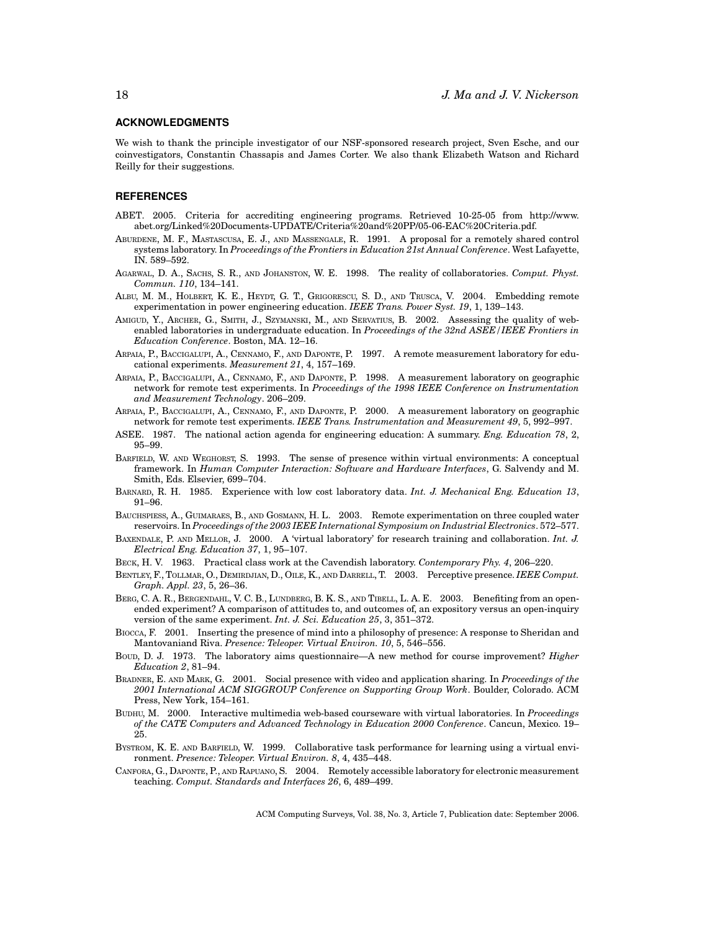#### **ACKNOWLEDGMENTS**

We wish to thank the principle investigator of our NSF-sponsored research project, Sven Esche, and our coinvestigators, Constantin Chassapis and James Corter. We also thank Elizabeth Watson and Richard Reilly for their suggestions.

### **REFERENCES**

- ABET. 2005. Criteria for accrediting engineering programs. Retrieved 10-25-05 from http://www. abet.org/Linked%20Documents-UPDATE/Criteria%20and%20PP/05-06-EAC%20Criteria.pdf.
- ABURDENE, M. F., MASTASCUSA, E. J., AND MASSENGALE, R. 1991. A proposal for a remotely shared control systems laboratory. In *Proceedings of the Frontiers in Education 21st Annual Conference*. West Lafayette, IN. 589–592.
- AGARWAL, D. A., SACHS, S. R., AND JOHANSTON, W. E. 1998. The reality of collaboratories. *Comput. Physt. Commun. 110*, 134–141.
- ALBU, M. M., HOLBERT, K. E., HEYDT, G. T., GRIGORESCU, S. D., AND TRUSCA, V. 2004. Embedding remote experimentation in power engineering education. *IEEE Trans. Power Syst. 19*, 1, 139–143.
- AMIGUD, Y., ARCHER, G., SMITH, J., SZYMANSKI, M., AND SERVATIUS, B. 2002. Assessing the quality of webenabled laboratories in undergraduate education. In *Proceedings of the 32nd ASEE/IEEE Frontiers in Education Conference*. Boston, MA. 12–16.
- ARPAIA, P., BACCIGALUPI, A., CENNAMO, F., AND DAPONTE, P. 1997. A remote measurement laboratory for educational experiments. *Measurement 21*, 4, 157–169.
- ARPAIA, P., BACCIGALUPI, A., CENNAMO, F., AND DAPONTE, P. 1998. A measurement laboratory on geographic network for remote test experiments. In *Proceedings of the 1998 IEEE Conference on Instrumentation and Measurement Technology*. 206–209.
- ARPAIA, P., BACCIGALUPI, A., CENNAMO, F., AND DAPONTE, P. 2000. A measurement laboratory on geographic network for remote test experiments. *IEEE Trans. Instrumentation and Measurement 49*, 5, 992–997.
- ASEE. 1987. The national action agenda for engineering education: A summary. *Eng. Education 78*, 2, 95–99.
- BARFIELD, W. AND WEGHORST, S. 1993. The sense of presence within virtual environments: A conceptual framework. In *Human Computer Interaction: Software and Hardware Interfaces*, G. Salvendy and M. Smith, Eds. Elsevier, 699–704.
- BARNARD, R. H. 1985. Experience with low cost laboratory data. *Int. J. Mechanical Eng. Education 13*, 91–96.
- BAUCHSPIESS, A., GUIMARAES, B., AND GOSMANN, H. L. 2003. Remote experimentation on three coupled water reservoirs. In *Proceedings of the 2003 IEEE International Symposium on Industrial Electronics*. 572–577.
- BAXENDALE, P. AND MELLOR, J. 2000. A 'virtual laboratory' for research training and collaboration. *Int. J. Electrical Eng. Education 37*, 1, 95–107.
- BECK, H. V. 1963. Practical class work at the Cavendish laboratory. *Contemporary Phy. 4*, 206–220.
- BENTLEY, F., TOLLMAR, O., DEMIRDJIAN, D., OILE, K., AND DARRELL, T. 2003. Perceptive presence. *IEEE Comput. Graph. Appl. 23*, 5, 26–36.
- BERG, C. A. R., BERGENDAHL, V. C. B., LUNDBERG, B. K. S., AND TIBELL, L. A. E. 2003. Benefiting from an openended experiment? A comparison of attitudes to, and outcomes of, an expository versus an open-inquiry version of the same experiment. *Int. J. Sci. Education 25*, 3, 351–372.
- BIOCCA, F. 2001. Inserting the presence of mind into a philosophy of presence: A response to Sheridan and Mantovaniand Riva. *Presence: Teleoper. Virtual Environ. 10*, 5, 546–556.
- BOUD, D. J. 1973. The laboratory aims questionnaire—A new method for course improvement? *Higher Education 2*, 81–94.
- BRADNER, E. AND MARK, G. 2001. Social presence with video and application sharing. In *Proceedings of the 2001 International ACM SIGGROUP Conference on Supporting Group Work*. Boulder, Colorado. ACM Press, New York, 154–161.
- BUDHU, M. 2000. Interactive multimedia web-based courseware with virtual laboratories. In *Proceedings of the CATE Computers and Advanced Technology in Education 2000 Conference*. Cancun, Mexico. 19– 25.
- BYSTROM, K. E. AND BARFIELD, W. 1999. Collaborative task performance for learning using a virtual environment. *Presence: Teleoper. Virtual Environ. 8*, 4, 435–448.
- CANFORA, G., DAPONTE, P., AND RAPUANO, S. 2004. Remotely accessible laboratory for electronic measurement teaching. *Comput. Standards and Interfaces 26*, 6, 489–499.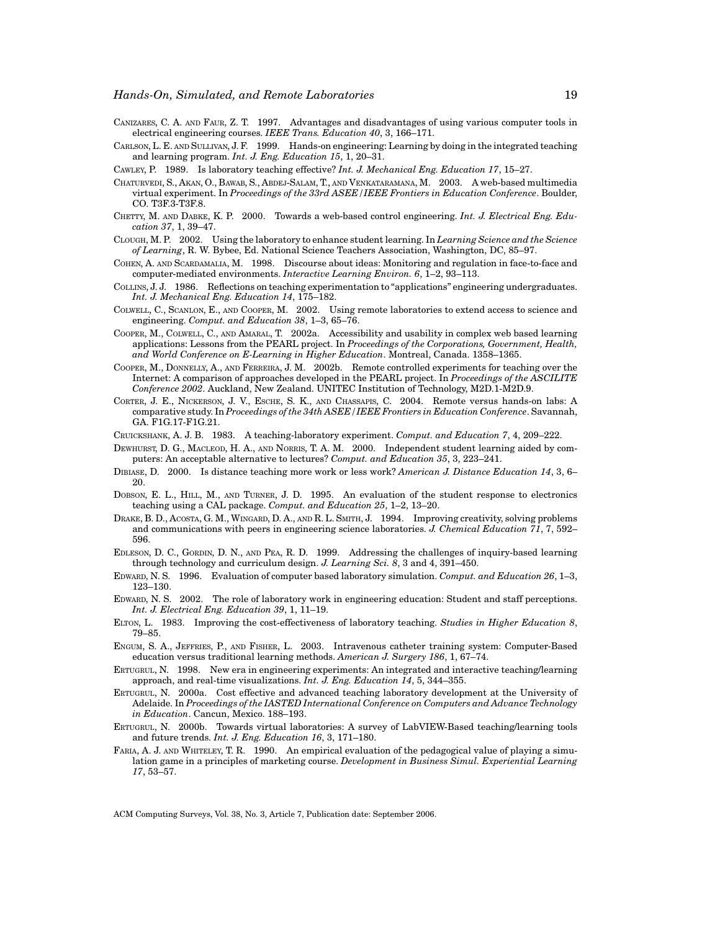- CANIZARES, C. A. AND FAUR, Z. T. 1997. Advantages and disadvantages of using various computer tools in electrical engineering courses. *IEEE Trans. Education 40*, 3, 166–171.
- CARLSON, L. E. AND SULLIVAN, J. F. 1999. Hands-on engineering: Learning by doing in the integrated teaching and learning program. *Int. J. Eng. Education 15*, 1, 20–31.
- CAWLEY, P. 1989. Is laboratory teaching effective? *Int. J. Mechanical Eng. Education 17*, 15–27.
- CHATURVEDI, S., AKAN, O., BAWAB, S., ABDEJ-SALAM, T., AND VENKATARAMANA, M. 2003. A web-based multimedia virtual experiment. In *Proceedings of the 33rd ASEE/IEEE Frontiers in Education Conference*. Boulder, CO. T3F.3-T3F.8.
- CHETTY, M. AND DABKE, K. P. 2000. Towards a web-based control engineering. *Int. J. Electrical Eng. Education 37*, 1, 39–47.
- CLOUGH, M. P. 2002. Using the laboratory to enhance student learning. In *Learning Science and the Science of Learning*, R. W. Bybee, Ed. National Science Teachers Association, Washington, DC, 85–97.
- COHEN, A. AND SCARDAMALIA, M. 1998. Discourse about ideas: Monitoring and regulation in face-to-face and computer-mediated environments. *Interactive Learning Environ. 6*, 1–2, 93–113.
- COLLINS, J. J. 1986. Reflections on teaching experimentation to "applications" engineering undergraduates. *Int. J. Mechanical Eng. Education 14*, 175–182.
- COLWELL, C., SCANLON, E., AND COOPER, M. 2002. Using remote laboratories to extend access to science and engineering. *Comput. and Education 38*, 1–3, 65–76.
- COOPER, M., COLWELL, C., AND AMARAL, T. 2002a. Accessibility and usability in complex web based learning applications: Lessons from the PEARL project. In *Proceedings of the Corporations, Government, Health, and World Conference on E-Learning in Higher Education*. Montreal, Canada. 1358–1365.
- COOPER, M., DONNELLY, A., AND FERREIRA, J. M. 2002b. Remote controlled experiments for teaching over the Internet: A comparison of approaches developed in the PEARL project. In *Proceedings of the ASCILITE Conference 2002*. Auckland, New Zealand. UNITEC Institution of Technology, M2D.1-M2D.9.
- CORTER, J. E., NICKERSON, J. V., ESCHE, S. K., AND CHASSAPIS, C. 2004. Remote versus hands-on labs: A comparative study. In *Proceedings of the 34th ASEE/IEEE Frontiers in Education Conference*. Savannah, GA. F1G.17-F1G.21.
- CRUICKSHANK, A. J. B. 1983. A teaching-laboratory experiment. *Comput. and Education 7*, 4, 209–222.
- DEWHURST, D. G., MACLEOD, H. A., AND NORRIS, T. A. M. 2000. Independent student learning aided by computers: An acceptable alternative to lectures? *Comput. and Education 35*, 3, 223–241.
- DIBIASE, D. 2000. Is distance teaching more work or less work? *American J. Distance Education 14*, 3, 6– 20.
- DOBSON, E. L., HILL, M., AND TURNER, J. D. 1995. An evaluation of the student response to electronics teaching using a CAL package. *Comput. and Education 25*, 1–2, 13–20.
- DRAKE, B. D., ACOSTA, G. M., WINGARD, D. A., AND R. L. SMITH, J. 1994. Improving creativity, solving problems and communications with peers in engineering science laboratories. *J. Chemical Education 71*, 7, 592– 596.
- EDLESON, D. C., GORDIN, D. N., AND PEA, R. D. 1999. Addressing the challenges of inquiry-based learning through technology and curriculum design. *J. Learning Sci. 8*, 3 and 4, 391–450.
- EDWARD, N. S. 1996. Evaluation of computer based laboratory simulation. *Comput. and Education 26*, 1–3, 123–130.
- EDWARD, N. S. 2002. The role of laboratory work in engineering education: Student and staff perceptions. *Int. J. Electrical Eng. Education 39*, 1, 11–19.
- ELTON, L. 1983. Improving the cost-effectiveness of laboratory teaching. *Studies in Higher Education 8*, 79–85.
- ENGUM, S. A., JEFFRIES, P., AND FISHER, L. 2003. Intravenous catheter training system: Computer-Based education versus traditional learning methods. *American J. Surgery 186*, 1, 67–74.
- ERTUGRUL, N. 1998. New era in engineering experiments: An integrated and interactive teaching/learning approach, and real-time visualizations. *Int. J. Eng. Education 14*, 5, 344–355.
- ERTUGRUL, N. 2000a. Cost effective and advanced teaching laboratory development at the University of Adelaide. In *Proceedings of the IASTED International Conference on Computers and Advance Technology in Education*. Cancun, Mexico. 188–193.
- ERTUGRUL, N. 2000b. Towards virtual laboratories: A survey of LabVIEW-Based teaching/learning tools and future trends. *Int. J. Eng. Education 16*, 3, 171–180.
- FARIA, A. J. AND WHITELEY, T. R. 1990. An empirical evaluation of the pedagogical value of playing a simulation game in a principles of marketing course. *Development in Business Simul. Experiential Learning 17*, 53–57.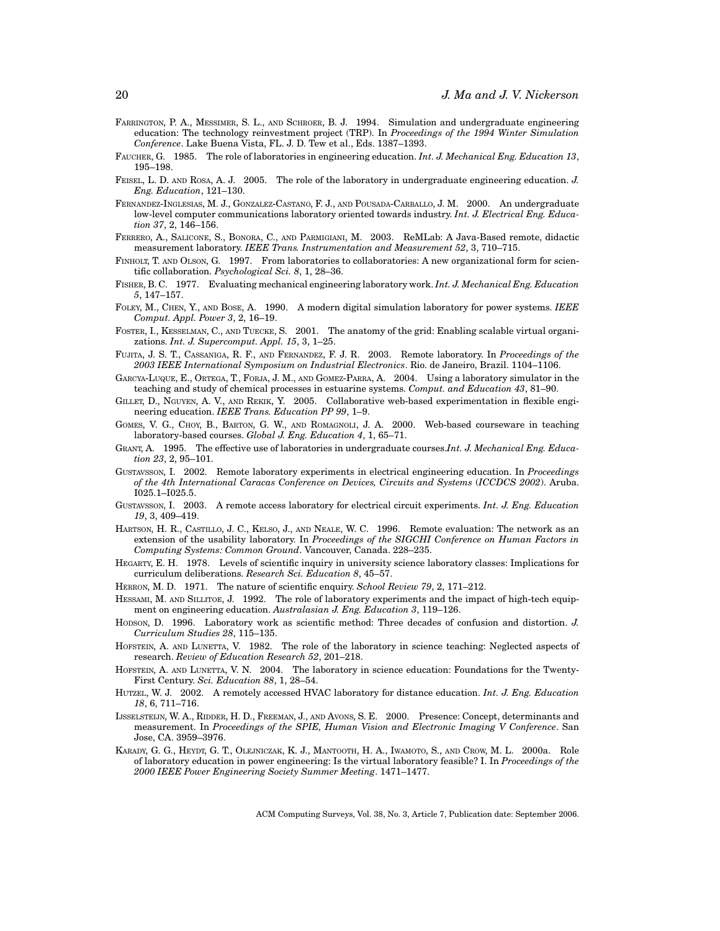- FARRINGTON, P. A., MESSIMER, S. L., AND SCHROER, B. J. 1994. Simulation and undergraduate engineering education: The technology reinvestment project (TRP). In *Proceedings of the 1994 Winter Simulation Conference*. Lake Buena Vista, FL. J. D. Tew et al., Eds. 1387–1393.
- FAUCHER, G. 1985. The role of laboratories in engineering education. *Int. J. Mechanical Eng. Education 13*, 195–198.
- FEISEL, L. D. AND ROSA, A. J. 2005. The role of the laboratory in undergraduate engineering education. *J. Eng. Education*, 121–130.
- FERNANDEZ-INGLESIAS, M. J., GONZALEZ-CASTANO, F. J., AND POUSADA-CARBALLO, J. M. 2000. An undergraduate low-level computer communications laboratory oriented towards industry. *Int. J. Electrical Eng. Education 37*, 2, 146–156.
- FERRERO, A., SALICONE, S., BONORA, C., AND PARMIGIANI, M. 2003. ReMLab: A Java-Based remote, didactic measurement laboratory. *IEEE Trans. Instrumentation and Measurement 52*, 3, 710–715.
- FINHOLT, T. AND OLSON, G. 1997. From laboratories to collaboratories: A new organizational form for scientific collaboration. *Psychological Sci. 8*, 1, 28–36.
- FISHER, B. C. 1977. Evaluating mechanical engineering laboratory work. *Int. J. Mechanical Eng. Education 5*, 147–157.
- FOLEY, M., CHEN, Y., AND BOSE, A. 1990. A modern digital simulation laboratory for power systems. *IEEE Comput. Appl. Power 3*, 2, 16–19.
- FOSTER, I., KESSELMAN, C., AND TUECKE, S. 2001. The anatomy of the grid: Enabling scalable virtual organizations. *Int. J. Supercomput. Appl. 15*, 3, 1–25.
- FUJITA, J. S. T., CASSANIGA, R. F., AND FERNANDEZ, F. J. R. 2003. Remote laboratory. In *Proceedings of the 2003 IEEE International Symposium on Industrial Electronics*. Rio. de Janeiro, Brazil. 1104–1106.
- GARCYA-LUQUE, E., ORTEGA, T., FORJA, J. M., AND GOMEZ-PARRA, A. 2004. Using a laboratory simulator in the teaching and study of chemical processes in estuarine systems. *Comput. and Education 43*, 81–90.
- GILLET, D., NGUYEN, A. V., AND REKIK, Y. 2005. Collaborative web-based experimentation in flexible engineering education. *IEEE Trans. Education PP 99*, 1–9.
- GOMES, V. G., CHOY, B., BARTON, G. W., AND ROMAGNOLI, J. A. 2000. Web-based courseware in teaching laboratory-based courses. *Global J. Eng. Education 4*, 1, 65–71.
- GRANT, A. 1995. The effective use of laboratories in undergraduate courses.*Int. J. Mechanical Eng. Education 23*, 2, 95–101.
- GUSTAVSSON, I. 2002. Remote laboratory experiments in electrical engineering education. In *Proceedings of the 4th International Caracas Conference on Devices, Circuits and Systems* (*ICCDCS 2002*). Aruba. I025.1–I025.5.
- GUSTAVSSON, I. 2003. A remote access laboratory for electrical circuit experiments. *Int. J. Eng. Education 19*, 3, 409–419.
- HARTSON, H. R., CASTILLO, J. C., KELSO, J., AND NEALE, W. C. 1996. Remote evaluation: The network as an extension of the usability laboratory. In *Proceedings of the SIGCHI Conference on Human Factors in Computing Systems: Common Ground*. Vancouver, Canada. 228–235.
- HEGARTY, E. H. 1978. Levels of scientific inquiry in university science laboratory classes: Implications for curriculum deliberations. *Research Sci. Education 8*, 45–57.
- HERRON, M. D. 1971. The nature of scientific enquiry. *School Review 79*, 2, 171–212.
- HESSAMI, M. AND SILLITOE, J. 1992. The role of laboratory experiments and the impact of high-tech equipment on engineering education. *Australasian J. Eng. Education 3*, 119–126.
- HODSON, D. 1996. Laboratory work as scientific method: Three decades of confusion and distortion. *J. Curriculum Studies 28*, 115–135.
- HOFSTEIN, A. AND LUNETTA, V. 1982. The role of the laboratory in science teaching: Neglected aspects of research. *Review of Education Research 52*, 201–218.
- HOFSTEIN, A. AND LUNETTA, V. N. 2004. The laboratory in science education: Foundations for the Twenty-First Century. *Sci. Education 88*, 1, 28–54.
- HUTZEL, W. J. 2002. A remotely accessed HVAC laboratory for distance education. *Int. J. Eng. Education 18*, 6, 711–716.
- IJSSELSTEIJN, W. A., RIDDER, H. D., FREEMAN, J., AND AVONS, S. E. 2000. Presence: Concept, determinants and measurement. In *Proceedings of the SPIE, Human Vision and Electronic Imaging V Conference*. San Jose, CA. 3959–3976.
- KARADY, G. G., HEYDT, G. T., OLEJNICZAK, K. J., MANTOOTH, H. A., IWAMOTO, S., AND CROW, M. L. 2000a. Role of laboratory education in power engineering: Is the virtual laboratory feasible? I. In *Proceedings of the 2000 IEEE Power Engineering Society Summer Meeting*. 1471–1477.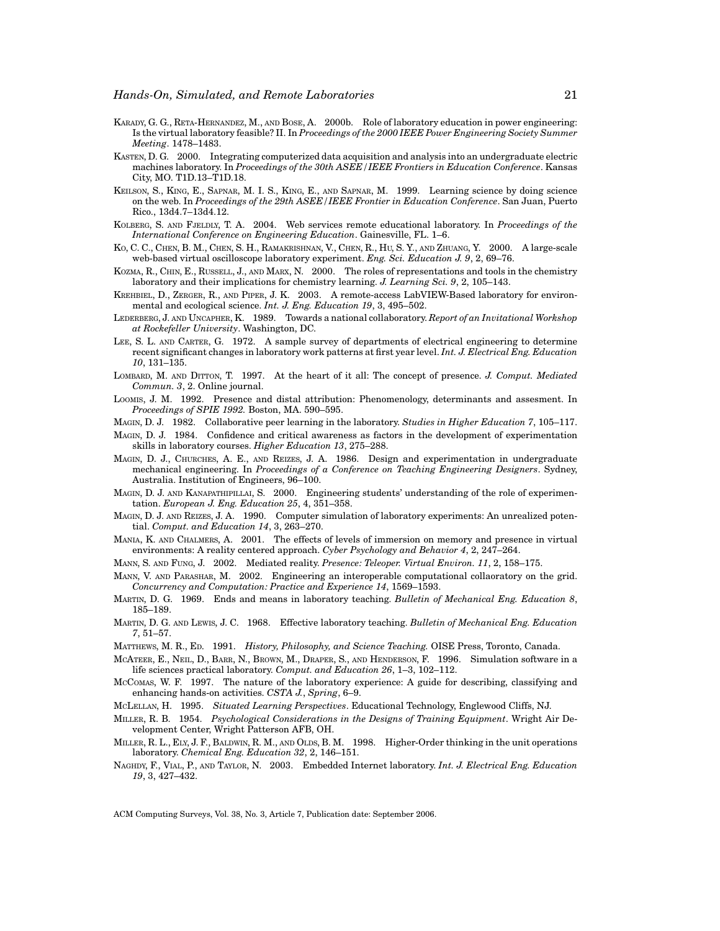- KARADY, G. G., RETA-HERNANDEZ, M., AND BOSE, A. 2000b. Role of laboratory education in power engineering: Is the virtual laboratory feasible? II. In *Proceedings of the 2000 IEEE Power Engineering Society Summer Meeting*. 1478–1483.
- KASTEN, D. G. 2000. Integrating computerized data acquisition and analysis into an undergraduate electric machines laboratory. In *Proceedings of the 30th ASEE/IEEE Frontiers in Education Conference*. Kansas City, MO. T1D.13–T1D.18.
- KEILSON, S., KING, E., SAPNAR, M. I. S., KING, E., AND SAPNAR, M. 1999. Learning science by doing science on the web. In *Proceedings of the 29th ASEE/IEEE Frontier in Education Conference*. San Juan, Puerto Rico., 13d4.7–13d4.12.
- KOLBERG, S. AND FJELDLY, T. A. 2004. Web services remote educational laboratory. In *Proceedings of the International Conference on Engineering Education*. Gainesville, FL. 1–6.
- KO, C. C., CHEN, B. M., CHEN, S. H., RAMAKRISHNAN, V., CHEN, R., HU, S. Y., AND ZHUANG, Y. 2000. A large-scale web-based virtual oscilloscope laboratory experiment. *Eng. Sci. Education J. 9*, 2, 69–76.
- KOZMA, R., CHIN, E., RUSSELL, J., AND MARX, N. 2000. The roles of representations and tools in the chemistry laboratory and their implications for chemistry learning. *J. Learning Sci. 9*, 2, 105–143.
- KREHBIEL, D., ZERGER, R., AND PIPER, J. K. 2003. A remote-access LabVIEW-Based laboratory for environmental and ecological science. *Int. J. Eng. Education 19*, 3, 495–502.
- LEDERBERG, J. AND UNCAPHER, K. 1989. Towards a national collaboratory. *Report of an Invitational Workshop at Rockefeller University*. Washington, DC.
- LEE, S. L. AND CARTER, G. 1972. A sample survey of departments of electrical engineering to determine recent significant changes in laboratory work patterns at first year level. *Int. J. Electrical Eng. Education 10*, 131–135.
- LOMBARD, M. AND DITTON, T. 1997. At the heart of it all: The concept of presence. *J. Comput. Mediated Commun. 3*, 2. Online journal.
- LOOMIS, J. M. 1992. Presence and distal attribution: Phenomenology, determinants and assesment. In *Proceedings of SPIE 1992.* Boston, MA. 590–595.
- MAGIN, D. J. 1982. Collaborative peer learning in the laboratory. *Studies in Higher Education 7*, 105–117.
- MAGIN, D. J. 1984. Confidence and critical awareness as factors in the development of experimentation skills in laboratory courses. *Higher Education 13*, 275–288.
- MAGIN, D. J., CHURCHES, A. E., AND REIZES, J. A. 1986. Design and experimentation in undergraduate mechanical engineering. In *Proceedings of a Conference on Teaching Engineering Designers*. Sydney, Australia. Institution of Engineers, 96–100.
- MAGIN, D. J. AND KANAPATHIPILLAI, S. 2000. Engineering students' understanding of the role of experimentation. *European J. Eng. Education 25*, 4, 351–358.
- MAGIN, D. J. AND REIZES, J. A. 1990. Computer simulation of laboratory experiments: An unrealized potential. *Comput. and Education 14*, 3, 263–270.
- MANIA, K. AND CHALMERS, A. 2001. The effects of levels of immersion on memory and presence in virtual environments: A reality centered approach. *Cyber Psychology and Behavior 4*, 2, 247–264.
- MANN, S. AND FUNG, J. 2002. Mediated reality. *Presence: Teleoper. Virtual Environ. 11*, 2, 158–175.
- MANN, V. AND PARASHAR, M. 2002. Engineering an interoperable computational collaoratory on the grid. *Concurrency and Computation: Practice and Experience 14*, 1569–1593.
- MARTIN, D. G. 1969. Ends and means in laboratory teaching. *Bulletin of Mechanical Eng. Education 8*, 185–189.
- MARTIN, D. G. AND LEWIS, J. C. 1968. Effective laboratory teaching. *Bulletin of Mechanical Eng. Education 7*, 51–57.
- MATTHEWS, M. R., ED. 1991. *History, Philosophy, and Science Teaching.* OISE Press, Toronto, Canada.
- MCATEER, E., NEIL, D., BARR, N., BROWN, M., DRAPER, S., AND HENDERSON, F. 1996. Simulation software in a life sciences practical laboratory. *Comput. and Education 26*, 1–3, 102–112.
- MCCOMAS, W. F. 1997. The nature of the laboratory experience: A guide for describing, classifying and enhancing hands-on activities. *CSTA J.*, *Spring*, 6–9.
- MCLELLAN, H. 1995. *Situated Learning Perspectives*. Educational Technology, Englewood Cliffs, NJ.
- MILLER, R. B. 1954. *Psychological Considerations in the Designs of Training Equipment*. Wright Air Development Center, Wright Patterson AFB, OH.
- MILLER, R. L., ELY, J. F., BALDWIN, R. M., AND OLDS, B. M. 1998. Higher-Order thinking in the unit operations laboratory. *Chemical Eng. Education 32*, 2, 146–151.
- NAGHDY, F., VIAL, P., AND TAYLOR, N. 2003. Embedded Internet laboratory. *Int. J. Electrical Eng. Education 19*, 3, 427–432.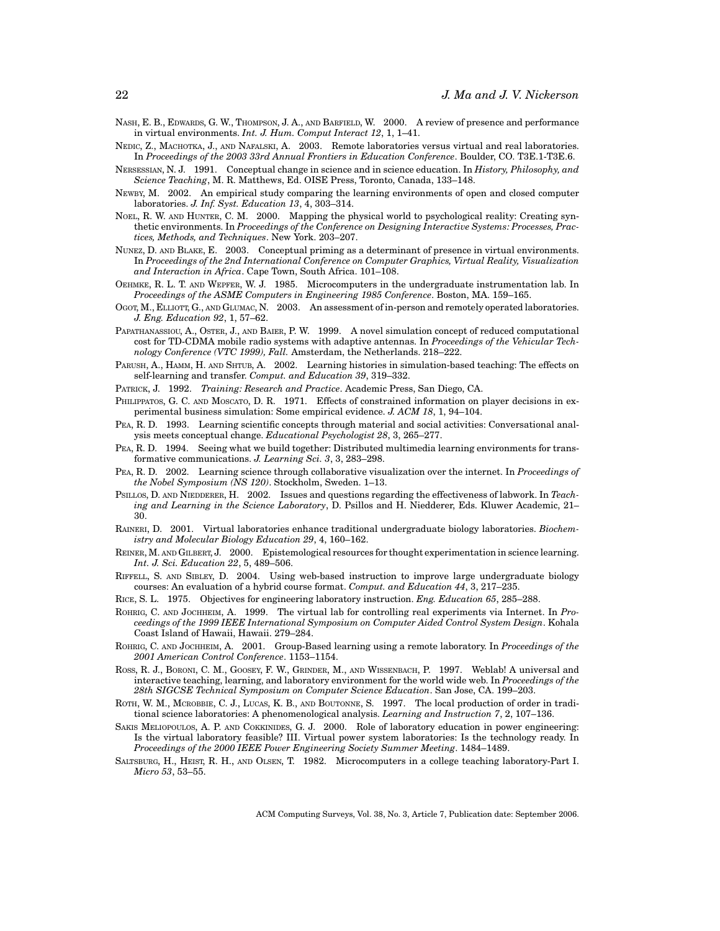- NASH, E. B., EDWARDS, G. W., THOMPSON, J. A., AND BARFIELD, W. 2000. A review of presence and performance in virtual environments. *Int. J. Hum. Comput Interact 12*, 1, 1–41.
- NEDIC, Z., MACHOTKA, J., AND NAFALSKI, A. 2003. Remote laboratories versus virtual and real laboratories. In *Proceedings of the 2003 33rd Annual Frontiers in Education Conference*. Boulder, CO. T3E.1-T3E.6.
- NERSESSIAN, N. J. 1991. Conceptual change in science and in science education. In *History, Philosophy, and Science Teaching*, M. R. Matthews, Ed. OISE Press, Toronto, Canada, 133–148.
- NEWBY, M. 2002. An empirical study comparing the learning environments of open and closed computer laboratories. *J. Inf. Syst. Education 13*, 4, 303–314.
- NOEL, R. W. AND HUNTER, C. M. 2000. Mapping the physical world to psychological reality: Creating synthetic environments. In *Proceedings of the Conference on Designing Interactive Systems: Processes, Practices, Methods, and Techniques*. New York. 203–207.
- NUNEZ, D. AND BLAKE, E. 2003. Conceptual priming as a determinant of presence in virtual environments. In *Proceedings of the 2nd International Conference on Computer Graphics, Virtual Reality, Visualization and Interaction in Africa*. Cape Town, South Africa. 101–108.
- OEHMKE, R. L. T. AND WEPFER, W. J. 1985. Microcomputers in the undergraduate instrumentation lab. In *Proceedings of the ASME Computers in Engineering 1985 Conference*. Boston, MA. 159–165.
- OGOT, M., ELLIOTT, G., AND GLUMAC, N. 2003. An assessment of in-person and remotely operated laboratories. *J. Eng. Education 92*, 1, 57–62.
- PAPATHANASSIOU, A., OSTER, J., AND BAIER, P. W. 1999. A novel simulation concept of reduced computational cost for TD-CDMA mobile radio systems with adaptive antennas. In *Proceedings of the Vehicular Technology Conference (VTC 1999), Fall.* Amsterdam, the Netherlands. 218–222.
- PARUSH, A., HAMM, H. AND SHTUB, A. 2002. Learning histories in simulation-based teaching: The effects on self-learning and transfer. *Comput. and Education 39*, 319–332.
- PATRICK, J. 1992. *Training: Research and Practice*. Academic Press, San Diego, CA.
- PHILIPPATOS, G. C. AND MOSCATO, D. R. 1971. Effects of constrained information on player decisions in experimental business simulation: Some empirical evidence. *J. ACM 18*, 1, 94–104.
- PEA, R. D. 1993. Learning scientific concepts through material and social activities: Conversational analysis meets conceptual change. *Educational Psychologist 28*, 3, 265–277.
- PEA, R. D. 1994. Seeing what we build together: Distributed multimedia learning environments for transformative communications. *J. Learning Sci. 3*, 3, 283–298.
- PEA, R. D. 2002. Learning science through collaborative visualization over the internet. In *Proceedings of the Nobel Symposium (NS 120)*. Stockholm, Sweden. 1–13.
- PSILLOS, D. AND NIEDDERER, H. 2002. Issues and questions regarding the effectiveness of labwork. In *Teaching and Learning in the Science Laboratory*, D. Psillos and H. Niedderer, Eds. Kluwer Academic, 21– 30.
- RAINERI, D. 2001. Virtual laboratories enhance traditional undergraduate biology laboratories. *Biochemistry and Molecular Biology Education 29*, 4, 160–162.
- REINER, M. AND GILBERT, J. 2000. Epistemological resources for thought experimentation in science learning. *Int. J. Sci. Education 22*, 5, 489–506.
- RIFFELL, S. AND SIBLEY, D. 2004. Using web-based instruction to improve large undergraduate biology courses: An evaluation of a hybrid course format. *Comput. and Education 44*, 3, 217–235.
- RICE, S. L. 1975. Objectives for engineering laboratory instruction. *Eng. Education 65*, 285–288.
- ROHRIG, C. AND JOCHHEIM, A. 1999. The virtual lab for controlling real experiments via Internet. In *Proceedings of the 1999 IEEE International Symposium on Computer Aided Control System Design*. Kohala Coast Island of Hawaii, Hawaii. 279–284.
- ROHRIG, C. AND JOCHHEIM, A. 2001. Group-Based learning using a remote laboratory. In *Proceedings of the 2001 American Control Conference*. 1153–1154.
- ROSS, R. J., BORONI, C. M., GOOSEY, F. W., GRINDER, M., AND WISSENBACH, P. 1997. Weblab! A universal and interactive teaching, learning, and laboratory environment for the world wide web. In *Proceedings of the 28th SIGCSE Technical Symposium on Computer Science Education*. San Jose, CA. 199–203.
- ROTH, W. M., MCROBBIE, C. J., LUCAS, K. B., AND BOUTONNE, S. 1997. The local production of order in traditional science laboratories: A phenomenological analysis. *Learning and Instruction 7*, 2, 107–136.
- SAKIS MELIOPOULOS, A. P. AND COKKINIDES, G. J. 2000. Role of laboratory education in power engineering: Is the virtual laboratory feasible? III. Virtual power system laboratories: Is the technology ready. In *Proceedings of the 2000 IEEE Power Engineering Society Summer Meeting*. 1484–1489.
- SALTSBURG, H., HEIST, R. H., AND OLSEN, T. 1982. Microcomputers in a college teaching laboratory-Part I. *Micro 53*, 53–55.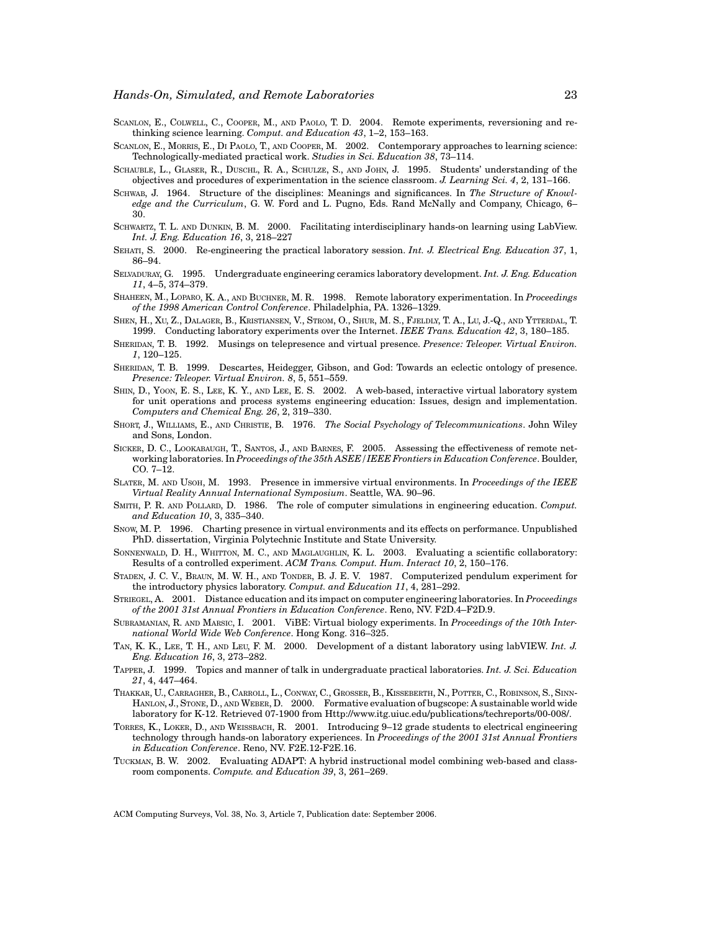SCANLON, E., COLWELL, C., COOPER, M., AND PAOLO, T. D. 2004. Remote experiments, reversioning and rethinking science learning. *Comput. and Education 43*, 1–2, 153–163.

SCANLON, E., MORRIS, E., DI PAOLO, T., AND COOPER, M. 2002. Contemporary approaches to learning science: Technologically-mediated practical work. *Studies in Sci. Education 38*, 73–114.

- SCHAUBLE, L., GLASER, R., DUSCHL, R. A., SCHULZE, S., AND JOHN, J. 1995. Students' understanding of the objectives and procedures of experimentation in the science classroom. *J. Learning Sci. 4*, 2, 131–166.
- SCHWAB, J. 1964. Structure of the disciplines: Meanings and significances. In *The Structure of Knowledge and the Curriculum*, G. W. Ford and L. Pugno, Eds. Rand McNally and Company, Chicago, 6– 30.
- SCHWARTZ, T. L. AND DUNKIN, B. M. 2000. Facilitating interdisciplinary hands-on learning using LabView. *Int. J. Eng. Education 16*, 3, 218–227
- SEHATI, S. 2000. Re-engineering the practical laboratory session. *Int. J. Electrical Eng. Education 37*, 1, 86–94.
- SELVADURAY, G. 1995. Undergraduate engineering ceramics laboratory development. *Int. J. Eng. Education 11*, 4–5, 374–379.
- SHAHEEN, M., LOPARO, K. A., AND BUCHNER, M. R. 1998. Remote laboratory experimentation. In *Proceedings of the 1998 American Control Conference*. Philadelphia, PA. 1326–1329.
- SHEN, H., XU, Z., DALAGER, B., KRISTIANSEN, V., STROM, O., SHUR, M. S., FJELDLY, T. A., LU, J.-Q., AND YTTERDAL, T. 1999. Conducting laboratory experiments over the Internet. *IEEE Trans. Education 42*, 3, 180–185.
- SHERIDAN, T. B. 1992. Musings on telepresence and virtual presence. *Presence: Teleoper. Virtual Environ. 1*, 120–125.
- SHERIDAN, T. B. 1999. Descartes, Heidegger, Gibson, and God: Towards an eclectic ontology of presence. *Presence: Teleoper. Virtual Environ. 8*, 5, 551–559.
- SHIN, D., YOON, E. S., LEE, K. Y., AND LEE, E. S. 2002. A web-based, interactive virtual laboratory system for unit operations and process systems engineering education: Issues, design and implementation. *Computers and Chemical Eng. 26*, 2, 319–330.
- SHORT, J., WILLIAMS, E., AND CHRISTIE, B. 1976. *The Social Psychology of Telecommunications*. John Wiley and Sons, London.
- SICKER, D. C., LOOKABAUGH, T., SANTOS, J., AND BARNES, F. 2005. Assessing the effectiveness of remote networking laboratories. In *Proceedings of the 35th ASEE/IEEE Frontiers in Education Conference*. Boulder, CO. 7–12.
- SLATER, M. AND USOH, M. 1993. Presence in immersive virtual environments. In *Proceedings of the IEEE Virtual Reality Annual International Symposium*. Seattle, WA. 90–96.
- SMITH, P. R. AND POLLARD, D. 1986. The role of computer simulations in engineering education. *Comput. and Education 10*, 3, 335–340.
- SNOW, M. P. 1996. Charting presence in virtual environments and its effects on performance. Unpublished PhD. dissertation, Virginia Polytechnic Institute and State University.
- SONNENWALD, D. H., WHITTON, M. C., AND MAGLAUGHLIN, K. L. 2003. Evaluating a scientific collaboratory: Results of a controlled experiment. *ACM Trans. Comput. Hum. Interact 10*, 2, 150–176.
- STADEN, J. C. V., BRAUN, M. W. H., AND TONDER, B. J. E. V. 1987. Computerized pendulum experiment for the introductory physics laboratory. *Comput. and Education 11*, 4, 281–292.
- STRIEGEL, A. 2001. Distance education and its impact on computer engineering laboratories. In *Proceedings of the 2001 31st Annual Frontiers in Education Conference*. Reno, NV. F2D.4–F2D.9.
- SUBRAMANIAN, R. AND MARSIC, I. 2001. ViBE: Virtual biology experiments. In *Proceedings of the 10th International World Wide Web Conference*. Hong Kong. 316–325.
- TAN, K. K., LEE, T. H., AND LEU, F. M. 2000. Development of a distant laboratory using labVIEW. *Int. J. Eng. Education 16*, 3, 273–282.
- TAPPER, J. 1999. Topics and manner of talk in undergraduate practical laboratories. *Int. J. Sci. Education 21*, 4, 447–464.
- THAKKAR, U., CARRAGHER, B., CARROLL, L., CONWAY, C., GROSSER, B., KISSEBERTH, N., POTTER, C., ROBINSON, S., SINN-HANLON, J., STONE, D., AND WEBER, D. 2000. Formative evaluation of bugscope: A sustainable world wide laboratory for K-12. Retrieved 07-1900 from Http://www.itg.uiuc.edu/publications/techreports/00-008/.
- TORRES, K., LOKER, D., AND WEISSBACH, R. 2001. Introducing 9–12 grade students to electrical engineering technology through hands-on laboratory experiences. In *Proceedings of the 2001 31st Annual Frontiers in Education Conference*. Reno, NV. F2E.12-F2E.16.
- TUCKMAN, B. W. 2002. Evaluating ADAPT: A hybrid instructional model combining web-based and classroom components. *Compute. and Education 39*, 3, 261–269.